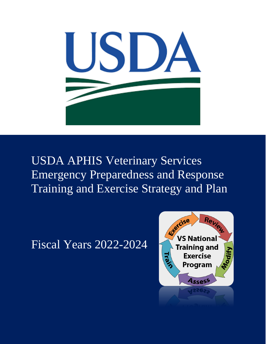

USDA APHIS Veterinary Services Emergency Preparedness and Response Training and Exercise Strategy and Plan

Fiscal Years 2022-2024

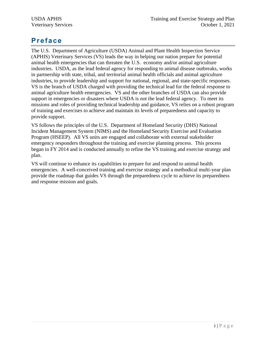## <span id="page-2-0"></span>**Preface**

The U.S. Department of Agriculture (USDA) Animal and Plant Health Inspection Service (APHIS) Veterinary Services (VS) leads the way in helping our nation prepare for potential animal health emergencies that can threaten the U.S. economy and/or animal agriculture industries. USDA, as the lead federal agency for responding to animal disease outbreaks, works in partnership with state, tribal, and territorial animal health officials and animal agriculture industries, to provide leadership and support for national, regional, and state-specific responses. VS is the branch of USDA charged with providing the technical lead for the federal response to animal agriculture health emergencies. VS and the other branches of USDA can also provide support in emergencies or disasters where USDA is not the lead federal agency. To meet its missions and roles of providing technical leadership and guidance, VS relies on a robust program of training and exercises to achieve and maintain its levels of preparedness and capacity to provide support.

VS follows the principles of the U.S. Department of Homeland Security (DHS) National Incident Management System (NIMS) and the Homeland Security Exercise and Evaluation Program (HSEEP). All VS units are engaged and collaborate with external stakeholder emergency responders throughout the training and exercise planning process. This process began in FY 2014 and is conducted annually to refine the VS training and exercise strategy and plan.

VS will continue to enhance its capabilities to prepare for and respond to animal health emergencies. A well-conceived training and exercise strategy and a methodical multi-year plan provide the roadmap that guides VS through the preparedness cycle to achieve its preparedness and response mission and goals.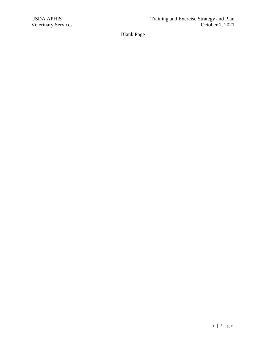Blank Page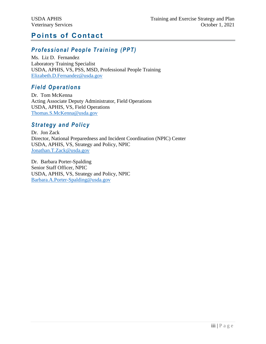## <span id="page-4-0"></span>**Points of Contact**

### <span id="page-4-1"></span>*Professional People Training (PPT)*

Ms. Liz D. Fernandez Laboratory Training Specialist USDA, APHIS, VS, PSS, MSD, Professional People Training [Elizabeth.D.Fernandez@usda.gov](mailto:Elizabeth.D.Fernandez@usda.gov)

## <span id="page-4-2"></span>*Field Operations*

Dr. Tom McKenna Acting Associate Deputy Administrator, Field Operations USDA, APHIS, VS, Field Operations [Thomas.S.McKenna@usda.gov](mailto:Thomas.S.McKenna@usda.gov)

### <span id="page-4-3"></span>*Strategy and Policy*

Dr. Jon Zack Director, National Preparedness and Incident Coordination (NPIC) Center USDA, APHIS, VS, Strategy and Policy, NPIC [Jonathan.T.Zack@usda.gov](mailto:Jonathan.T.Zack@usda.gov)

Dr. Barbara Porter-Spalding Senior Staff Officer, NPIC USDA, APHIS, VS, Strategy and Policy, NPIC [Barbara.A.Porter-Spalding@usda.gov](mailto:Barbara.A.Porter-Spalding@usda.gov)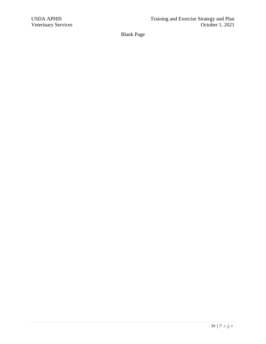Blank Page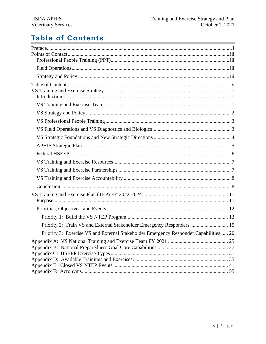# <span id="page-6-0"></span>**Table of Contents**

| Priority 2: Train VS and External Stakeholder Emergency Responders  15                |  |
|---------------------------------------------------------------------------------------|--|
| Priority 3: Exercise VS and External Stakeholder Emergency Responder Capabilities  20 |  |
|                                                                                       |  |
|                                                                                       |  |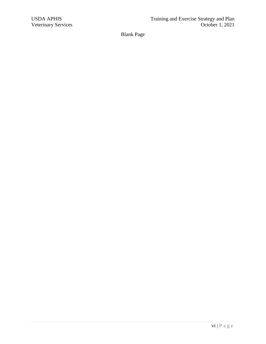<span id="page-7-0"></span>Blank Page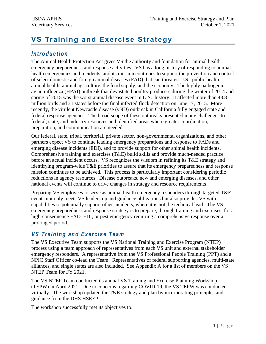## **VS Training and Exercise Strategy**

## <span id="page-8-0"></span>*Introduction*

The Animal Health Protection Act gives VS the authority and foundation for animal health emergency preparedness and response activities. VS has a long history of responding to animal health emergencies and incidents, and its mission continues to support the prevention and control of select domestic and foreign animal diseases (FAD) that can threaten U.S. public health, animal health, animal agriculture, the food supply, and the economy. The highly pathogenic avian influenza (HPAI) outbreak that devastated poultry producers during the winter of 2014 and spring of 2015 was the worst animal disease event in U.S. history. It affected more than 48.8 million birds and 21 states before the final infected flock detection on June 17, 2015. More recently, the virulent Newcastle disease (vND) outbreak in California fully engaged state and federal response agencies. The broad scope of these outbreaks presented many challenges to federal, state, and industry resources and identified areas where greater coordination, preparation, and communication are needed.

Our federal, state, tribal, territorial, private sector, non-governmental organizations, and other partners expect VS to continue leading emergency preparations and response to FADs and emerging disease incidents (EDI), and to provide support for other animal health incidents. Comprehensive training and exercises (T&E) build skills and provide much-needed practice before an actual incident occurs. VS recognizes the wisdom in refining its T&E strategy and identifying program-wide T&E priorities to assure that its emergency preparedness and response mission continues to be achieved. This process is particularly important considering periodic reductions in agency resources. Disease outbreaks, new and emerging diseases, and other national events will continue to drive changes in strategy and resource requirements.

Preparing VS employees to serve as animal health emergency responders through targeted T&E events not only meets VS leadership and guidance obligations but also provides VS with capabilities to potentially support other incidents, where it is not the technical lead. The VS emergency preparedness and response strategy is to prepare, through training and exercises, for a high-consequence FAD, EDI, or pest emergency requiring a comprehensive response over a prolonged period.

## <span id="page-8-1"></span>*VS Training and Exercise Team*

The VS Executive Team supports the VS National Training and Exercise Program (NTEP) process using a team approach of representatives from each VS unit and external stakeholder emergency responders. A representative from the VS Professional People Training (PPT) and a NPIC Staff Officer co-lead the Team. Representatives of federal supporting agencies, multi-state alliances, and single states are also included. See Appendix A for a list of members on the VS NTEP Team for FY 2021.

The VS NTEP Team conducted its annual VS Training and Exercise Planning Workshop (TEPW) in April 2021. Due to concerns regarding COVID-19, the VS TEPW was conducted virtually. The workshop updated the T&E strategy and plan by incorporating principles and guidance from the DHS HSEEP.

The workshop successfully met its objectives to: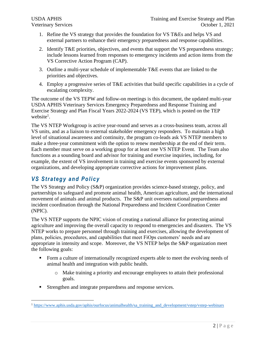- 1. Refine the VS strategy that provides the foundation for VS T&Es and helps VS and external partners to enhance their emergency preparedness and response capabilities.
- 2. Identify T&E priorities, objectives, and events that support the VS preparedness strategy; include lessons learned from responses to emergency incidents and action items from the VS Corrective Action Program (CAP).
- 3. Outline a multi-year schedule of implementable T&E events that are linked to the priorities and objectives.
- 4. Employ a progressive series of T&E activities that build specific capabilities in a cycle of escalating complexity.

The outcome of the VS TEPW and follow-on meetings is this document, the updated multi-year USDA APHIS Veterinary Services Emergency Preparedness and Response Training and Exercise Strategy and Plan Fiscal Years 2022-2024 (VS TEP), which is posted on the TEP website<sup>1</sup>.

The VS NTEP Workgroup is active year-round and serves as a cross-business team, across all VS units, and as a liaison to external stakeholder emergency responders. To maintain a high level of situational awareness and continuity, the program co-leads ask VS NTEP members to make a three-year commitment with the option to renew membership at the end of their term. Each member must serve on a working group for at least one VS NTEP Event. The Team also functions as a sounding board and advisor for training and exercise inquiries, including, for example, the extent of VS involvement in training and exercise events sponsored by external organizations, and developing appropriate corrective actions for improvement plans.

## <span id="page-9-0"></span>*VS Strategy and Policy*

The VS Strategy and Policy (S&P) organization provides science-based strategy, policy, and partnerships to safeguard and promote animal health, American agriculture, and the international movement of animals and animal products. The S&P unit oversees national preparedness and incident coordination through the National Preparedness and Incident Coordination Center (NPIC).

The VS NTEP supports the NPIC vision of creating a national alliance for protecting animal agriculture and improving the overall capacity to respond to emergencies and disasters. The VS NTEP works to prepare personnel through training and exercises, allowing the development of plans, policies, procedures, and capabilities that meet FiOps customers' needs and are appropriate in intensity and scope. Moreover, the VS NTEP helps the S&P organization meet the following goals:

- Form a culture of internationally recognized experts able to meet the evolving needs of animal health and integration with public health.
	- o Make training a priority and encourage employees to attain their professional goals.
- Strengthen and integrate preparedness and response services.

<sup>&</sup>lt;sup>1</sup> [https://www.aphis.usda.gov/aphis/ourfocus/animalhealth/sa\\_training\\_and\\_development/vstep/vstep-webinars](https://www.aphis.usda.gov/aphis/ourfocus/animalhealth/sa_training_and_development/vstep/vstep-webinars)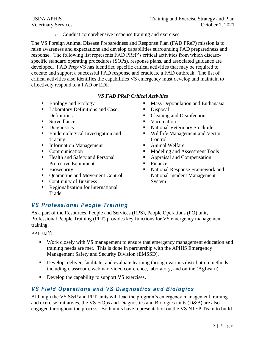o Conduct comprehensive response training and exercises.

The VS Foreign Animal Disease Preparedness and Response Plan (FAD PReP) mission is to raise awareness and expectations and develop capabilities surrounding FAD preparedness and response. The following list represents FAD PReP's critical activities from which diseasespecific standard operating procedures (SOPs), response plans, and associated guidance are developed. FAD Prep/VS has identified specific critical activities that may be required to execute and support a successful FAD response and eradicate a FAD outbreak. The list of critical activities also identifies the capabilities VS emergency must develop and maintain to effectively respond to a FAD or EDI.

#### *VS FAD PReP Critical Activities*

- Etiology and Ecology
- Laboratory Definitions and Case **Definitions**
- Surveillance
- Diagnostics
- Epidemiological Investigation and Tracing
- Information Management
- Communication
- Health and Safety and Personal Protective Equipment
- **Biosecurity**
- Quarantine and Movement Control
- Continuity of Business
- Regionalization for International Trade
- Mass Depopulation and Euthanasia
- **•** Disposal
- Cleaning and Disinfection
- Vaccination
- National Veterinary Stockpile
- Wildlife Management and Vector Control
- Animal Welfare
- Modeling and Assessment Tools
- Appraisal and Compensation
- Finance
- National Response Framework and National Incident Management System

## <span id="page-10-0"></span>*VS Professional People Training*

As a part of the Resources, People and Services (RPS), People Operations (PO) unit, Professional People Training (PPT) provides key functions for VS emergency management training.

PPT staff:

- Work closely with VS management to ensure that emergency management education and training needs are met. This is done in partnership with the APHIS Emergency Management Safety and Security Division (EMSSD).
- Develop, deliver, facilitate, and evaluate learning through various distribution methods, including classroom, webinar, video conference, laboratory, and online (AgLearn).
- Develop the capability to support VS exercises.

## <span id="page-10-1"></span>*VS Field Operations and VS Diagnostics and Biologics*

Although the VS S&P and PPT units will lead the program's emergency management training and exercise initiatives, the VS FiOps and Diagnostics and Biologics units (D&B) are also engaged throughout the process. Both units have representation on the VS NTEP Team to build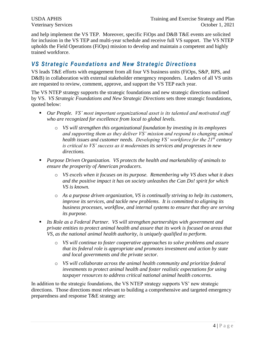and help implement the VS TEP. Moreover, specific FiOps and D&B T&E events are solicited for inclusion in the VS TEP and multi-year schedule and receive full VS support. The VS NTEP upholds the Field Operations (FiOps) mission to develop and maintain a competent and highly trained workforce.

## <span id="page-11-0"></span>*VS Strategic Foundations and New Strategic Directions*

VS leads T&E efforts with engagement from all four VS business units (FiOps, S&P, RPS, and D&B) in collaboration with external stakeholder emergency responders. Leaders of all VS units are requested to review, comment, approve, and support the VS TEP each year.

The VS NTEP strategy supports the strategic foundations and new strategic directions outlined by VS. *VS Strategic Foundations and New Strategic Directions* sets three strategic foundations, quoted below:

- *Our People. VS' most important organizational asset is its talented and motivated staff who are recognized for excellence from local to global levels.* 
	- o *VS will strengthen this organizational foundation by investing in its employees and supporting them as they deliver VS' mission and respond to changing animal health issues and customer needs. Developing VS' workforce for the 21st century is critical to VS' success as it modernizes its services and progresses in new directions.*
- *Purpose Driven Organization. VS protects the health and marketability of animals to ensure the prosperity of American producers.*
	- o *VS excels when it focuses on its purpose. Remembering why VS does what it does and the positive impact it has on society unleashes the Can Do! spirit for which VS is known.*
	- o *As a purpose driven organization, VS is continually striving to help its customers, improve its services, and tackle new problems. It is committed to aligning its business processes, workflow, and internal systems to ensure that they are serving its purpose.*
- *Its Role as a Federal Partner. VS will strengthen partnerships with government and private entities to protect animal health and assure that its work is focused on areas that VS, as the national animal health authority, is uniquely qualified to perform.*
	- o *VS will continue to foster cooperative approaches to solve problems and assure that its federal role is appropriate and promotes investment and action by state and local governments and the private sector.*
	- o *VS will collaborate across the animal health community and prioritize federal investments to protect animal health and foster realistic expectations for using taxpayer resources to address critical national animal health concerns.*

In addition to the strategic foundations, the VS NTEP strategy supports VS' new strategic directions. Those directions most relevant to building a comprehensive and targeted emergency preparedness and response T&E strategy are: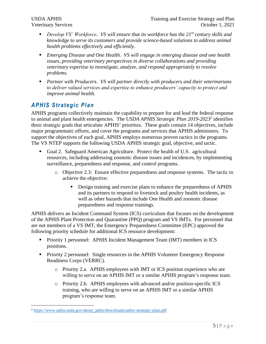- *Develop VS' Workforce. VS will ensure that its workforce has the 21<sup><i>st*</sup> *century skills and knowledge to serve its customers and provide science-based solutions to address animal health problems effectively and efficiently.*
- *Emerging Disease and One Health. VS will engage in emerging disease and one health issues, providing veterinary perspectives in diverse collaborations and providing veterinary expertise to investigate, analyze, and respond appropriately to resolve problems.*
- *Partner with Producers. VS will partner directly with producers and their veterinarians to deliver valued services and expertise to enhance producers' capacity to protect and improve animal health.*

## <span id="page-12-0"></span>*APHIS Strategic Plan*

APHIS programs collectively maintain the capability to prepare for and lead the federal response to animal and plant health emergencies. The *USDA APHIS Strategic Plan 2019-2023<sup>2</sup>* identifies three strategic goals that articulate APHIS' priorities. These goals contain 14 objectives, include major programmatic efforts, and cover the programs and services that APHIS administers. To support the objectives of each goal, APHIS employs numerous proven tactics in the programs. The VS NTEP supports the following USDA APHIS strategic goal, objective, and tactic.

- Goal 2. Safeguard American Agriculture. Protect the health of U.S. agricultural resources, including addressing zoonotic disease issues and incidences, by implementing surveillance, preparedness and response, and control programs.
	- o Objective 2.3: Ensure effective preparedness and response systems. The tactic to achieve the objective:
		- Design training and exercise plans to enhance the preparedness of APHIS and its partners to respond to livestock and poultry health incidents, as well as other hazards that include One Health and zoonotic disease preparedness and response trainings.

APHIS delivers an Incident Command System (ICS) curriculum that focuses on the development of the APHIS Plant Protection and Quarantine (PPQ) program and VS IMTs. For personnel that are not members of a VS IMT, the Emergency Preparedness Committee (EPC) approved the following priority schedule for additional ICS resource development:

- **•** Priority 1 personnel: APHIS Incident Management Team (IMT) members in ICS positions.
- **•** Priority 2 personnel: Single resources in the APHIS Volunteer Emergency Response Readiness Corps (VERRC).
	- o Priority 2.a. APHIS employees with IMT or ICS position experience who are willing to serve on an APHIS IMT or a similar APHIS program's response team.
	- o Priority 2.b. APHIS employees with advanced and/or position-specific ICS training, who are willing to serve on an APHIS IMT or a similar APHIS program's response team.

<sup>2</sup> [https://www.aphis.usda.gov/about\\_aphis/downloads/aphis-strategic-plan.pdf](https://www.aphis.usda.gov/about_aphis/downloads/aphis-strategic-plan.pdf)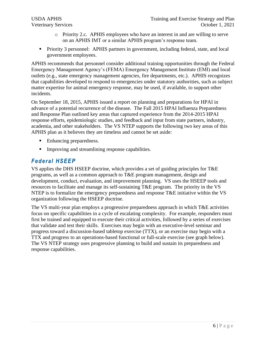- o Priority 2.c. APHIS employees who have an interest in and are willing to serve on an APHIS IMT or a similar APHIS program's response team.
- Priority 3 personnel: APHIS partners in government, including federal, state, and local government employees.

APHIS recommends that personnel consider additional training opportunities through the Federal Emergency Management Agency's (FEMA) Emergency Management Institute (EMI) and local outlets (e.g., state emergency management agencies, fire departments, etc.). APHIS recognizes that capabilities developed to respond to emergencies under statutory authorities, such as subject matter expertise for animal emergency response, may be used, if available, to support other incidents.

On September 18, 2015, APHIS issued a report on planning and preparations for HPAI in advance of a potential recurrence of the disease. The Fall 2015 HPAI Influenza Preparedness and Response Plan outlined key areas that captured experience from the 2014-2015 HPAI response efforts, epidemiologic studies, and feedback and input from state partners, industry, academia, and other stakeholders. The VS NTEP supports the following two key areas of this APHIS plan as it believes they are timeless and cannot be set aside:

- Enhancing preparedness.
- **•** Improving and streamlining response capabilities.

## <span id="page-13-0"></span>*Federal HSEEP*

VS applies the DHS HSEEP doctrine, which provides a set of guiding principles for T&E programs, as well as a common approach to T&E program management, design and development, conduct, evaluation, and improvement planning. VS uses the HSEEP tools and resources to facilitate and manage its self-sustaining T&E program. The priority in the VS NTEP is to formalize the emergency preparedness and response T&E initiative within the VS organization following the HSEEP doctrine.

The VS multi-year plan employs a progressive preparedness approach in which T&E activities focus on specific capabilities in a cycle of escalating complexity. For example, responders must first be trained and equipped to execute their critical activities, followed by a series of exercises that validate and test their skills. Exercises may begin with an executive-level seminar and progress toward a discussion-based tabletop exercise (TTX), or an exercise may begin with a TTX and progress to an operations-based functional or full-scale exercise (see graph below). The VS NTEP strategy uses progressive planning to build and sustain its preparedness and response capabilities.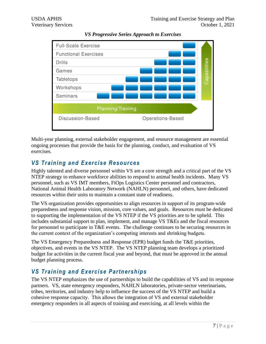

*VS Progressive Series Approach to Exercises*

Multi-year planning, external stakeholder engagement, and resource management are essential ongoing processes that provide the basis for the planning, conduct, and evaluation of VS exercises.

## <span id="page-14-0"></span>*VS Training and Exercise Resources*

Highly talented and diverse personnel within VS are a core strength and a critical part of the VS NTEP strategy to enhance workforce abilities to respond to animal health incidents. Many VS personnel, such as VS IMT members, FiOps Logistics Center personnel and contractors, National Animal Health Laboratory Network (NAHLN) personnel, and others, have dedicated resources within their units to maintain a constant state of readiness.

The VS organization provides opportunities to align resources in support of its program-wide preparedness and response vision, mission, core values, and goals. Resources must be dedicated to supporting the implementation of the VS NTEP if the VS priorities are to be upheld. This includes substantial support to plan, implement, and manage VS T&Es and the fiscal resources for personnel to participate in T&E events. The challenge continues to be securing resources in the current context of the organization's competing interests and shrinking budgets.

The VS Emergency Preparedness and Response (EPR) budget funds the T&E priorities, objectives, and events in the VS NTEP. The VS NTEP planning team develops a prioritized budget for activities in the current fiscal year and beyond, that must be approved in the annual budget planning process.

## <span id="page-14-1"></span>*VS Training and Exercise Partnerships*

The VS NTEP emphasizes the use of partnerships to build the capabilities of VS and its response partners. VS, state emergency responders, NAHLN laboratories, private-sector veterinarians, tribes, territories, and industry help to influence the success of the VS NTEP and build a cohesive response capacity. This allows the integration of VS and external stakeholder emergency responders in all aspects of training and exercising, at all levels within the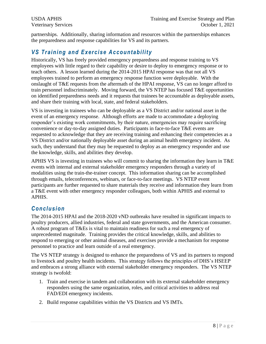partnerships. Additionally, sharing information and resources within the partnerships enhances the preparedness and response capabilities for VS and its partners.

## <span id="page-15-0"></span>*VS Training and Exercise Accountability*

Historically, VS has freely provided emergency preparedness and response training to VS employees with little regard to their capability or desire to deploy to emergency response or to teach others. A lesson learned during the 2014-2015 HPAI response was that not all VS employees trained to perform an emergency response function were deployable. With the onslaught of T&E requests from the aftermath of the HPAI response, VS can no longer afford to train personnel indiscriminately. Moving forward, the VS NTEP has focused T&E opportunities on identified preparedness needs and it requests that trainees be accountable as deployable assets, and share their training with local, state, and federal stakeholders.

VS is investing in trainees who can be deployable as a VS District and/or national asset in the event of an emergency response. Although efforts are made to accommodate a deploying responder's existing work commitments, by their nature, emergencies may require sacrificing convenience or day-to-day assigned duties. Participants in face-to-face T&E events are requested to acknowledge that they are receiving training and enhancing their competencies as a VS District and/or nationally deployable asset during an animal health emergency incident. As such, they understand that they may be requested to deploy as an emergency responder and use the knowledge, skills, and abilities they develop.

APHIS VS is investing in trainees who will commit to sharing the information they learn in T&E events with internal and external stakeholder emergency responders through a variety of modalities using the train-the-trainer concept. This information sharing can be accomplished through emails, teleconferences, webinars, or face-to-face meetings. VS NTEP event participants are further requested to share materials they receive and information they learn from a T&E event with other emergency responder colleagues, both within APHIS and external to APHIS.

### <span id="page-15-1"></span>*Conclusion*

The 2014-2015 HPAI and the 2018-2020 vND outbreaks have resulted in significant impacts to poultry producers, allied industries, federal and state governments, and the American consumer. A robust program of T&Es is vital to maintain readiness for such a real emergency of unprecedented magnitude. Training provides the critical knowledge, skills, and abilities to respond to emerging or other animal diseases, and exercises provide a mechanism for response personnel to practice and learn outside of a real emergency.

The VS NTEP strategy is designed to enhance the preparedness of VS and its partners to respond to livestock and poultry health incidents. This strategy follows the principles of DHS's HSEEP and embraces a strong alliance with external stakeholder emergency responders. The VS NTEP strategy is twofold:

- 1. Train and exercise in tandem and collaboration with its external stakeholder emergency responders using the same organization, roles, and critical activities to address real FAD/EDI emergency incidents.
- 2. Build response capabilities within the VS Districts and VS IMTs.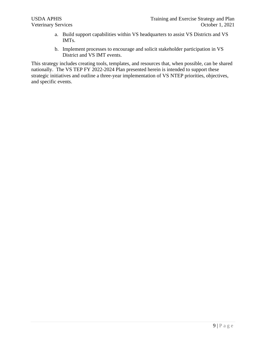- a. Build support capabilities within VS headquarters to assist VS Districts and VS IMTs.
- b. Implement processes to encourage and solicit stakeholder participation in VS District and VS IMT events.

This strategy includes creating tools, templates, and resources that, when possible, can be shared nationally. The VS TEP FY 2022-2024 Plan presented herein is intended to support these strategic initiatives and outline a three-year implementation of VS NTEP priorities, objectives, and specific events.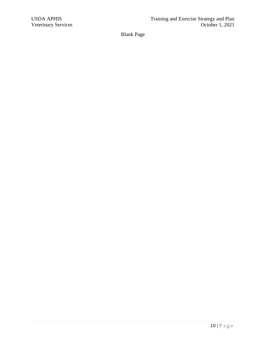Blank Page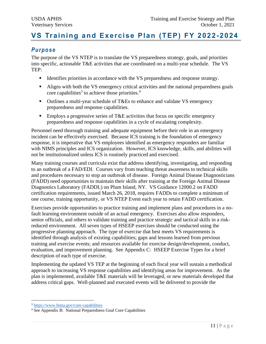## <span id="page-18-0"></span>**VS Training and Exercise Plan (TEP) FY 2022-2024**

### <span id="page-18-1"></span>*Purpose*

The purpose of the VS NTEP is to translate the VS preparedness strategy, goals, and priorities into specific, actionable T&E activities that are coordinated on a multi-year schedule. The VS TEP:

- **EXECUTE:** Identifies priorities in accordance with the VS preparedness and response strategy.
- Aligns with both the VS emergency critical activities and the national preparedness goals core capabilities<sup>3</sup> to achieve those priorities.<sup>4</sup>
- Outlines a multi-year schedule of T&Es to enhance and validate VS emergency preparedness and response capabilities.
- **Employs a progressive series of T&E activities that focus on specific emergency** preparedness and response capabilities in a cycle of escalating complexity.

Personnel need thorough training and adequate equipment before their role in an emergency incident can be effectively exercised. Because ICS training is the foundation of emergency response, it is imperative that VS employees identified as emergency responders are familiar with NIMS principles and ICS organization. However, ICS knowledge, skills, and abilities will not be institutionalized unless ICS is routinely practiced and exercised.

Many training courses and curricula exist that address identifying, investigating, and responding to an outbreak of a FAD/EDI. Courses vary from teaching threat awareness to technical skills and procedures necessary to stop an outbreak of disease. Foreign Animal Disease Diagnosticians (FADD) need opportunities to maintain their skills after training at the Foreign Animal Disease Diagnostics Laboratory (FADDL) on Plum Island, NY. VS Guidance 12000.2 on FADD certification requirements, issued March 26, 2018, requires FADDs to complete a minimum of one course, training opportunity, or VS NTEP Event each year to retain FADD certification.

Exercises provide opportunities to practice training and implement plans and procedures in a nofault learning environment outside of an actual emergency. Exercises also allow responders, senior officials, and others to validate training and practice strategic and tactical skills in a riskreduced environment. All seven types of HSEEP exercises should be conducted using the progressive planning approach. The type of exercise that best meets VS requirements is identified through analysis of existing capabilities; gaps and lessons learned from previous training and exercise events; and resources available for exercise design/development, conduct, evaluation, and improvement planning. See Appendix C: HSEEP Exercise Types for a brief description of each type of exercise.

Implementing the updated VS TEP at the beginning of each fiscal year will sustain a methodical approach to increasing VS response capabilities and identifying areas for improvement. As the plan is implemented, available T&E materials will be leveraged, or new materials developed that address critical gaps. Well-planned and executed events will be delivered to provide the

<sup>3</sup> <https://www.fema.gov/core-capabilities>

<sup>4</sup> See Appendix B: National Preparedness Goal Core Capabilities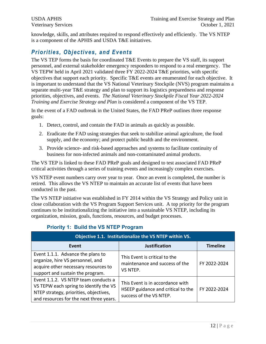knowledge, skills, and attributes required to respond effectively and efficiently. The VS NTEP is a component of the APHIS and USDA T&E initiatives.

## <span id="page-19-0"></span>*Priorities, Objectives, and Events*

The VS TEP forms the basis for coordinated T&E Events to prepare the VS staff, its support personnel, and external stakeholder emergency responders to respond to a real emergency. The VS TEPW held in April 2021 validated three FY 2022-2024 T&E priorities, with specific objectives that support each priority. Specific T&E events are enumerated for each objective. It is important to understand that the VS National Veterinary Stockpile (NVS) program maintains a separate multi-year T&E strategy and plan to support its logistics preparedness and response priorities, objectives, and events. *The National Veterinary Stockpile Fiscal Year 2022-2024 Training and Exercise Strategy and Plan* is considered a component of the VS TEP.

In the event of a FAD outbreak in the United States, the FAD PReP outlines three response goals:

- 1. Detect, control, and contain the FAD in animals as quickly as possible.
- 2. Eradicate the FAD using strategies that seek to stabilize animal agriculture, the food supply, and the economy; and protect public health and the environment.
- 3. Provide science- and risk-based approaches and systems to facilitate continuity of business for non-infected animals and non-contaminated animal products.

The VS TEP is linked to these FAD PReP goals and designed to test associated FAD PReP critical activities through a series of training events and increasingly complex exercises.

VS NTEP event numbers carry over year to year. Once an event is completed, the number is retired. This allows the VS NTEP to maintain an accurate list of events that have been conducted in the past.

The VS NTEP initiative was established in FY 2014 within the VS Strategy and Policy unit in close collaboration with the VS Program Support Services unit. A top priority for the program continues to be institutionalizing the initiative into a sustainable VS NTEP, including its organization, mission, goals, functions, resources, and budget processes.

<span id="page-19-1"></span>

| Objective 1.1. Institutionalize the VS NTEP within VS.                                                                                                              |                                                                                                   |                 |
|---------------------------------------------------------------------------------------------------------------------------------------------------------------------|---------------------------------------------------------------------------------------------------|-----------------|
| Event                                                                                                                                                               | <b>Justification</b>                                                                              | <b>Timeline</b> |
| Event 1.1.1. Advance the plans to<br>organize, hire VS personnel, and<br>acquire other necessary resources to<br>support and sustain the program.                   | This Event is critical to the<br>maintenance and success of the<br>VS NTEP.                       | FY 2022-2024    |
| Event 1.1.2. VS NTEP team conducts a<br>VS TEPW each spring to identify the VS<br>NTEP strategy, priorities, objectives,<br>and resources for the next three years. | This Event is in accordance with<br>HSEEP guidance and critical to the<br>success of the VS NTEP. | FY 2022-2024    |

### **Priority 1: Build the VS NTEP Program**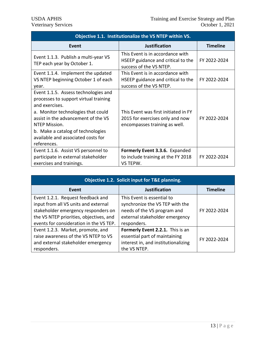| Objective 1.1. Institutionalize the VS NTEP within VS.                                                                                                                                                                                                                                  |                                                                                                          |                 |
|-----------------------------------------------------------------------------------------------------------------------------------------------------------------------------------------------------------------------------------------------------------------------------------------|----------------------------------------------------------------------------------------------------------|-----------------|
| Event                                                                                                                                                                                                                                                                                   | <b>Justification</b>                                                                                     | <b>Timeline</b> |
| Event 1.1.3. Publish a multi-year VS<br>TEP each year by October 1.                                                                                                                                                                                                                     | This Event is in accordance with<br>HSEEP guidance and critical to the<br>success of the VS NTEP.        | FY 2022-2024    |
| Event 1.1.4. Implement the updated<br>VS NTEP beginning October 1 of each<br>year.                                                                                                                                                                                                      | This Event is in accordance with<br>HSEEP guidance and critical to the<br>success of the VS NTEP.        | FY 2022-2024    |
| Event 1.1.5. Assess technologies and<br>processes to support virtual training<br>and exercises.<br>a. Monitor technologies that could<br>assist in the advancement of the VS<br>NTEP Mission.<br>b. Make a catalog of technologies<br>available and associated costs for<br>references. | This Event was first initiated in FY<br>2015 for exercises only and now<br>encompasses training as well. | FY 2022-2024    |
| Event 1.1.6. Assist VS personnel to<br>participate in external stakeholder<br>exercises and trainings.                                                                                                                                                                                  | Formerly Event 3.3.6. Expanded<br>to include training at the FY 2018<br>VS TEPW.                         | FY 2022-2024    |

| Objective 1.2. Solicit input for T&E planning.                                                                                                                                                         |                                                                                                                                               |                 |
|--------------------------------------------------------------------------------------------------------------------------------------------------------------------------------------------------------|-----------------------------------------------------------------------------------------------------------------------------------------------|-----------------|
| Event                                                                                                                                                                                                  | <b>Justification</b>                                                                                                                          | <b>Timeline</b> |
| Event 1.2.1. Request feedback and<br>input from all VS units and external<br>stakeholder emergency responders on<br>the VS NTEP priorities, objectives, and<br>events for consideration in the VS TEP. | This Event is essential to<br>synchronize the VS TEP with the<br>needs of the VS program and<br>external stakeholder emergency<br>responders. | FY 2022-2024    |
| Event 1.2.3. Market, promote, and<br>raise awareness of the VS NTEP to VS<br>and external stakeholder emergency<br>responders.                                                                         | Formerly Event 2.2.1. This is an<br>essential part of maintaining<br>interest in, and institutionalizing<br>the VS NTEP.                      | FY 2022-2024    |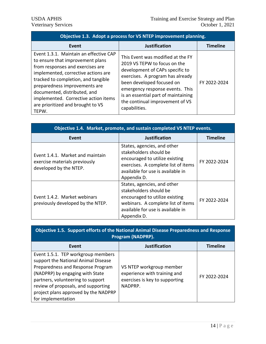| Objective 1.3. Adopt a process for VS NTEP improvement planning.                                                                                                                                                                                                                                                                                    |                                                                                                                                                                                                                                                                                                     |                 |
|-----------------------------------------------------------------------------------------------------------------------------------------------------------------------------------------------------------------------------------------------------------------------------------------------------------------------------------------------------|-----------------------------------------------------------------------------------------------------------------------------------------------------------------------------------------------------------------------------------------------------------------------------------------------------|-----------------|
| Event                                                                                                                                                                                                                                                                                                                                               | <b>Justification</b>                                                                                                                                                                                                                                                                                | <b>Timeline</b> |
| Event 1.3.1. Maintain an effective CAP<br>to ensure that improvement plans<br>from responses and exercises are<br>implemented, corrective actions are<br>tracked to completion, and tangible<br>preparedness improvements are<br>documented, distributed, and<br>implemented. Corrective action items<br>are prioritized and brought to VS<br>TEPW. | This Event was modified at the FY<br>2019 VS TEPW to focus on the<br>development of CAPs specific to<br>exercises. A program has already<br>been developed focused on<br>emergency response events. This<br>is an essential part of maintaining<br>the continual improvement of VS<br>capabilities. | FY 2022-2024    |

| Objective 1.4. Market, promote, and sustain completed VS NTEP events.                       |                                                                                                                                                                                    |                 |
|---------------------------------------------------------------------------------------------|------------------------------------------------------------------------------------------------------------------------------------------------------------------------------------|-----------------|
| Event                                                                                       | <b>Justification</b>                                                                                                                                                               | <b>Timeline</b> |
| Event 1.4.1. Market and maintain<br>exercise materials previously<br>developed by the NTEP. | States, agencies, and other<br>stakeholders should be<br>encouraged to utilize existing<br>exercises. A complete list of items<br>available for use is available in<br>Appendix D. | FY 2022-2024    |
| Event 1.4.2. Market webinars<br>previously developed by the NTEP.                           | States, agencies, and other<br>stakeholders should be<br>encouraged to utilize existing<br>webinars. A complete list of items<br>available for use is available in<br>Appendix D.  | FY 2022-2024    |

| Objective 1.5. Support efforts of the National Animal Disease Preparedness and Response<br>Program (NADPRP).                                                                                                                                                                                |                                                                                                       |                 |
|---------------------------------------------------------------------------------------------------------------------------------------------------------------------------------------------------------------------------------------------------------------------------------------------|-------------------------------------------------------------------------------------------------------|-----------------|
| Event                                                                                                                                                                                                                                                                                       | <b>Justification</b>                                                                                  | <b>Timeline</b> |
| Event 1.5.1. TEP workgroup members<br>support the National Animal Disease<br>Preparedness and Response Program<br>(NADPRP) by engaging with State<br>partners, volunteering to support<br>review of proposals, and supporting<br>project plans approved by the NADPRP<br>for implementation | VS NTEP workgroup member<br>experience with training and<br>exercises is key to supporting<br>NADPRP. | FY 2022-2024    |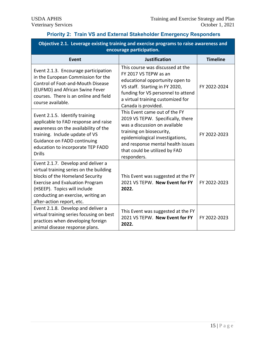### **Priority 2: Train VS and External Stakeholder Emergency Responders**

<span id="page-22-0"></span>

| Objective 2.1. Leverage existing training and exercise programs to raise awareness and<br>encourage participation.                                                                                                                                            |                                                                                                                                                                                                                                                         |                 |
|---------------------------------------------------------------------------------------------------------------------------------------------------------------------------------------------------------------------------------------------------------------|---------------------------------------------------------------------------------------------------------------------------------------------------------------------------------------------------------------------------------------------------------|-----------------|
| <b>Event</b>                                                                                                                                                                                                                                                  | <b>Justification</b>                                                                                                                                                                                                                                    | <b>Timeline</b> |
| Event 2.1.3. Encourage participation<br>in the European Commission for the<br>Control of Foot-and-Mouth Disease<br>(EUFMD) and African Swine Fever<br>courses. There is an online and field<br>course available.                                              | This course was discussed at the<br>FY 2017 VS TEPW as an<br>educational opportunity open to<br>VS staff. Starting in FY 2020,<br>funding for VS personnel to attend<br>a virtual training customized for<br>Canada is provided.                        | FY 2022-2024    |
| Event 2.1.5. Identify training<br>applicable to FAD response and raise<br>awareness on the availability of the<br>training. Include update of VS<br>Guidance on FADD continuing<br>education to incorporate TEP FADD<br><b>Drills</b>                         | This Event came out of the FY<br>2019 VS TEPW. Specifically, there<br>was a discussion on available<br>training on biosecurity,<br>epidemiological investigations,<br>and response mental health issues<br>that could be utilized by FAD<br>responders. | FY 2022-2023    |
| Event 2.1.7. Develop and deliver a<br>virtual training series on the building<br>blocks of the Homeland Security<br><b>Exercise and Evaluation Program</b><br>(HSEEP). Topics will include<br>conducting an exercise, writing an<br>after-action report, etc. | This Event was suggested at the FY<br>2021 VS TEPW. New Event for FY<br>2022.                                                                                                                                                                           | FY 2022-2023    |
| Event 2.1.8. Develop and deliver a<br>virtual training series focusing on best<br>practices when developing foreign<br>animal disease response plans.                                                                                                         | This Event was suggested at the FY<br>2021 VS TEPW. New Event for FY<br>2022.                                                                                                                                                                           | FY 2022-2023    |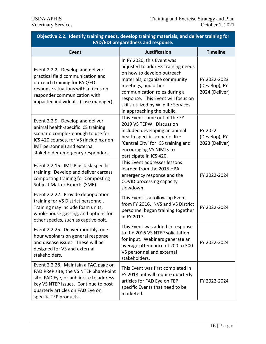m.

| Objective 2.2. Identify training needs, develop training materials, and deliver training for<br>FAD/EDI preparedness and response.                                                                                              |                                                                                                                                                                                                                                                                                                    |                                                 |
|---------------------------------------------------------------------------------------------------------------------------------------------------------------------------------------------------------------------------------|----------------------------------------------------------------------------------------------------------------------------------------------------------------------------------------------------------------------------------------------------------------------------------------------------|-------------------------------------------------|
| <b>Event</b>                                                                                                                                                                                                                    | <b>Justification</b>                                                                                                                                                                                                                                                                               | <b>Timeline</b>                                 |
| Event 2.2.2. Develop and deliver<br>practical field communication and<br>outreach training for FAD/EDI<br>response situations with a focus on<br>responder communication with<br>impacted individuals. (case manager).          | In FY 2020, this Event was<br>adjusted to address training needs<br>on how to develop outreach<br>materials, organize community<br>meetings, and other<br>communication roles during a<br>response. This Event will focus on<br>skills utilized by Wildlife Services<br>in approaching the public. | FY 2022-2023<br>(Develop), FY<br>2024 (Deliver) |
| Event 2.2.9. Develop and deliver<br>animal health-specific ICS training<br>scenario complex enough to use for<br>ICS 420 courses, for VS (including non-<br>IMT personnel) and external<br>stakeholder emergency responders.    | This Event came out of the FY<br>2019 VS TEPW. Discussion<br>included developing an animal<br>health-specific scenario, like<br>'Central City' for ICS training and<br>encouraging VS NIMTs to<br>participate in ICS 420.                                                                          | FY 2022<br>(Develop), FY<br>2023 (Deliver)      |
| Event 2.2.15. IMT-Plus task-specific<br>training: Develop and deliver carcass<br>composting training for Composting<br>Subject Matter Experts (SME).                                                                            | This Event addresses lessons<br>learned from the 2015 HPAI<br>emergency response and the<br>COVID processing capacity<br>slowdown.                                                                                                                                                                 | FY 2022-2024                                    |
| Event 2.2.22. Provide depopulation<br>training for VS District personnel.<br>Training may include foam units,<br>whole-house gassing, and options for<br>other species, such as captive bolt.                                   | This Event is a follow-up Event<br>from FY 2016. NVS and VS District<br>personnel began training together<br>in FY 2017.                                                                                                                                                                           | FY 2022-2024                                    |
| Event 2.2.25. Deliver monthly, one-<br>hour webinars on general response<br>and disease issues. These will be<br>designed for VS and external<br>stakeholders.                                                                  | This Event was added in response<br>to the 2016 VS NTEP solicitation<br>for input. Webinars generate an<br>average attendance of 200 to 300<br>VS personnel and external<br>stakeholders.                                                                                                          | FY 2022-2024                                    |
| Event 2.2.28. Maintain a FAQ page on<br>FAD PReP site, the VS NTEP SharePoint<br>site, FAD Eye, or public site to address<br>key VS NTEP issues. Continue to post<br>quarterly articles on FAD Eye on<br>specific TEP products. | This Event was first completed in<br>FY 2018 but will require quarterly<br>articles for FAD Eye on TEP<br>specific Events that need to be<br>marketed.                                                                                                                                             | FY 2022-2024                                    |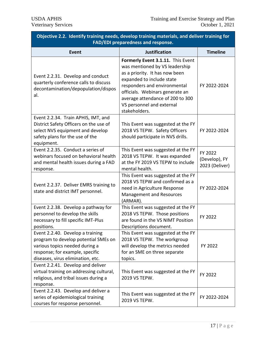| Objective 2.2. Identify training needs, develop training materials, and deliver training for<br>FAD/EDI preparedness and response.                                                 |                                                                                                                                                                                                                                                                                         |                                            |
|------------------------------------------------------------------------------------------------------------------------------------------------------------------------------------|-----------------------------------------------------------------------------------------------------------------------------------------------------------------------------------------------------------------------------------------------------------------------------------------|--------------------------------------------|
| <b>Event</b>                                                                                                                                                                       | <b>Justification</b>                                                                                                                                                                                                                                                                    | <b>Timeline</b>                            |
| Event 2.2.31. Develop and conduct<br>quarterly conference calls to discuss<br>decontamination/depopulation/dispos<br>al.                                                           | Formerly Event 3.1.11. This Event<br>was mentioned by VS leadership<br>as a priority. It has now been<br>expanded to include state<br>responders and environmental<br>officials. Webinars generate an<br>average attendance of 200 to 300<br>VS personnel and external<br>stakeholders. | FY 2022-2024                               |
| Event 2.2.34. Train APHIS, IMT, and<br>District Safety Officers on the use of<br>select NVS equipment and develop<br>safety plans for the use of the<br>equipment.                 | This Event was suggested at the FY<br>2018 VS TEPW. Safety Officers<br>should participate in NVS drills.                                                                                                                                                                                | FY 2022-2024                               |
| Event 2.2.35. Conduct a series of<br>webinars focused on behavioral health<br>and mental health issues during a FAD<br>response.                                                   | This Event was suggested at the FY<br>2018 VS TEPW. It was expanded<br>at the FY 2019 VS TEPW to include<br>mental health.                                                                                                                                                              | FY 2022<br>(Develop), FY<br>2023 (Deliver) |
| Event 2.2.37. Deliver EMRS training to<br>state and district IMT personnel.                                                                                                        | This Event was suggested at the FY<br>2018 VS TEPW and confirmed as a<br>need in Agriculture Response<br>Management and Resources<br>(ARMAR).                                                                                                                                           | FY 2022-2024                               |
| Event 2.2.38. Develop a pathway for<br>personnel to develop the skills<br>necessary to fill specific IMT-Plus<br>positions.                                                        | This Event was suggested at the FY<br>2018 VS TEPW. Those positions<br>are found in the VS NIMT Position<br>Descriptions document.                                                                                                                                                      | FY 2022                                    |
| Event 2.2.40. Develop a training<br>program to develop potential SMEs on<br>various topics needed during a<br>response; for example, specific<br>diseases, virus elimination, etc. | This Event was suggested at the FY<br>2018 VS TEPW. The workgroup<br>will develop the metrics needed<br>for an SME on three separate<br>topics.                                                                                                                                         | FY 2022                                    |
| Event 2.2.41. Develop and deliver<br>virtual training on addressing cultural,<br>religious, and tribal issues during a<br>response.                                                | This Event was suggested at the FY<br>2019 VS TEPW.                                                                                                                                                                                                                                     | FY 2022                                    |
| Event 2.2.43. Develop and deliver a<br>series of epidemiological training<br>courses for response personnel.                                                                       | This Event was suggested at the FY<br>2019 VS TEPW.                                                                                                                                                                                                                                     | FY 2022-2024                               |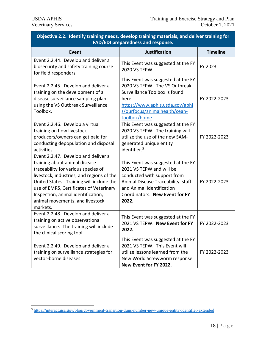| Objective 2.2. Identify training needs, develop training materials, and deliver training for<br>FAD/EDI preparedness and response.                                                                                                                                                                                                   |                                                                                                                                                                                                            |                 |
|--------------------------------------------------------------------------------------------------------------------------------------------------------------------------------------------------------------------------------------------------------------------------------------------------------------------------------------|------------------------------------------------------------------------------------------------------------------------------------------------------------------------------------------------------------|-----------------|
| <b>Event</b>                                                                                                                                                                                                                                                                                                                         | <b>Justification</b>                                                                                                                                                                                       | <b>Timeline</b> |
| Event 2.2.44. Develop and deliver a<br>biosecurity and safety training course<br>for field responders.                                                                                                                                                                                                                               | This Event was suggested at the FY<br>2020 VS TEPW.                                                                                                                                                        | FY 2023         |
| Event 2.2.45. Develop and deliver a<br>training on the development of a<br>disease surveillance sampling plan<br>using the VS Outbreak Surveillance<br>Toolbox.                                                                                                                                                                      | This Event was suggested at the FY<br>2020 VS TEPW. The VS Outbreak<br>Surveillance Toolbox is found<br>here:<br>https://www.aphis.usda.gov/aphi<br>s/ourfocus/animalhealth/ceah-<br>toolbox/home          | FY 2022-2023    |
| Event 2.2.46. Develop a virtual<br>training on how livestock<br>producers/owners can get paid for<br>conducting depopulation and disposal<br>activities.                                                                                                                                                                             | This Event was suggested at the FY<br>2020 VS TEPW. The training will<br>utilize the use of the new SAM-<br>generated unique entity<br>identifier. <sup>5</sup>                                            | FY 2022-2023    |
| Event 2.2.47. Develop and deliver a<br>training about animal disease<br>traceability for various species of<br>livestock, industries, and regions of the<br>United States. Training will include the<br>use of EMRS, Certificates of Veterinary<br>Inspection, animal identification,<br>animal movements, and livestock<br>markets. | This Event was suggested at the FY<br>2021 VS TEPW and will be<br>conducted with support from<br>Animal Disease Traceability staff<br>and Animal Identification<br>Coordinators. New Event for FY<br>2022. | FY 2022-2023    |
| Event 2.2.48. Develop and deliver a<br>training on active observational<br>surveillance. The training will include<br>the clinical scoring tool.                                                                                                                                                                                     | This Event was suggested at the FY<br>2021 VS TEPW. New Event for FY<br>2022.                                                                                                                              | FY 2022-2023    |
| Event 2.2.49. Develop and deliver a<br>training on surveillance strategies for<br>vector-borne diseases.                                                                                                                                                                                                                             | This Event was suggested at the FY<br>2021 VS TEPW. This Event will<br>utilize lessons learned from the<br>New World Screwworm response.<br>New Event for FY 2022.                                         | FY 2022-2023    |

<sup>5</sup> <https://interact.gsa.gov/blog/government-transition-duns-number-new-unique-entity-identifier-extended>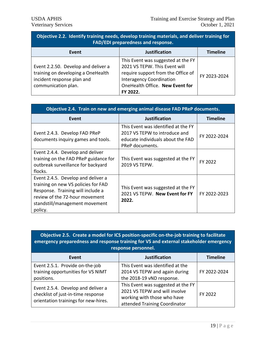| Objective 2.2. Identify training needs, develop training materials, and deliver training for<br>FAD/EDI preparedness and response. |                                                                                                                                                                                             |                 |
|------------------------------------------------------------------------------------------------------------------------------------|---------------------------------------------------------------------------------------------------------------------------------------------------------------------------------------------|-----------------|
| Event                                                                                                                              | <b>Justification</b>                                                                                                                                                                        | <b>Timeline</b> |
| Event 2.2.50. Develop and deliver a<br>training on developing a OneHealth<br>incident response plan and<br>communication plan.     | This Event was suggested at the FY<br>2021 VS TEPW. This Event will<br>require support from the Office of<br><b>Interagency Coordination</b><br>OneHealth Office. New Event for<br>FY 2022. | FY 2023-2024    |

| Objective 2.4. Train on new and emerging animal disease FAD PReP documents.                                                                                                                   |                                                                                                                              |                 |
|-----------------------------------------------------------------------------------------------------------------------------------------------------------------------------------------------|------------------------------------------------------------------------------------------------------------------------------|-----------------|
| Event                                                                                                                                                                                         | Justification                                                                                                                | <b>Timeline</b> |
| Event 2.4.3. Develop FAD PReP<br>documents inquiry games and tools.                                                                                                                           | This Event was identified at the FY<br>2017 VS TEPW to introduce and<br>educate individuals about the FAD<br>PReP documents. | FY 2022-2024    |
| Event 2.4.4. Develop and deliver<br>training on the FAD PReP guidance for<br>outbreak surveillance for backyard<br>flocks.                                                                    | This Event was suggested at the FY<br>2019 VS TEPW.                                                                          | FY 2022         |
| Event 2.4.5. Develop and deliver a<br>training on new VS policies for FAD<br>Response. Training will include a<br>review of the 72-hour movement<br>standstill/management movement<br>policy. | This Event was suggested at the FY<br>2021 VS TEPW. New Event for FY<br>2022.                                                | FY 2022-2023    |

| Objective 2.5. Create a model for ICS position-specific on-the-job training to facilitate<br>emergency preparedness and response training for VS and external stakeholder emergency<br>response personnel. |  |  |  |  |
|------------------------------------------------------------------------------------------------------------------------------------------------------------------------------------------------------------|--|--|--|--|
| <b>Justification</b><br><b>Timeline</b><br>Event                                                                                                                                                           |  |  |  |  |
|                                                                                                                                                                                                            |  |  |  |  |

| evenu                                                                      | Justincation                       | mmenne       |
|----------------------------------------------------------------------------|------------------------------------|--------------|
| Event 2.5.1. Provide on-the-job                                            | This Event was identified at the   |              |
| training opportunities for VS NIMT                                         | 2014 VS TEPW and again during      | FY 2022-2024 |
| positions.                                                                 | the 2018-19 vND response.          |              |
| Event 2.5.4. Develop and deliver a                                         | This Event was suggested at the FY |              |
| checklist of just-in-time response<br>orientation trainings for new-hires. | 2021 VS TEPW and will involve      | FY 2022      |
|                                                                            | working with those who have        |              |
|                                                                            | attended Training Coordinator      |              |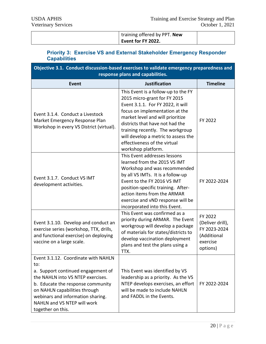$\overline{\phantom{a}}$ 

<span id="page-27-0"></span>

| training offered by PPT. New |  |
|------------------------------|--|
| Event for FY 2022.           |  |

### **Priority 3: Exercise VS and External Stakeholder Emergency Responder Capabilities**

| Objective 3.1. Conduct discussion-based exercises to validate emergency preparedness and<br>response plans and capabilities.                                                                                                                                                         |                                                                                                                                                                                                                                                                                                                                                    |                                                                                    |  |
|--------------------------------------------------------------------------------------------------------------------------------------------------------------------------------------------------------------------------------------------------------------------------------------|----------------------------------------------------------------------------------------------------------------------------------------------------------------------------------------------------------------------------------------------------------------------------------------------------------------------------------------------------|------------------------------------------------------------------------------------|--|
| <b>Event</b>                                                                                                                                                                                                                                                                         | <b>Justification</b>                                                                                                                                                                                                                                                                                                                               | <b>Timeline</b>                                                                    |  |
| Event 3.1.4. Conduct a Livestock<br>Market Emergency Response Plan<br>Workshop in every VS District (virtual).                                                                                                                                                                       | This Event is a follow-up to the FY<br>2015 micro-grant for FY 2015<br>Event 3.1.1. For FY 2022, it will<br>focus on implementation at the<br>market level and will prioritize<br>districts that have not had the<br>training recently. The workgroup<br>will develop a metric to assess the<br>effectiveness of the virtual<br>workshop platform. | FY 2022                                                                            |  |
| Event 3.1.7. Conduct VS IMT<br>development activities.                                                                                                                                                                                                                               | This Event addresses lessons<br>learned from the 2015 VS IMT<br>Workshop and was recommended<br>by all VS IMTs. It is a follow-up<br>Event to the FY 2016 VS IMT<br>position-specific training. After-<br>action items from the ARMAR<br>exercise and vND response will be<br>incorporated into this Event.                                        | FY 2022-2024                                                                       |  |
| Event 3.1.10. Develop and conduct an<br>exercise series (workshop, TTX, drills,<br>and functional exercise) on deploying<br>vaccine on a large scale.                                                                                                                                | This Event was confirmed as a<br>priority during ARMAR. The Event<br>workgroup will develop a package<br>of materials for states/districts to<br>develop vaccination deployment<br>plans and test the plans using a<br>TTX.                                                                                                                        | FY 2022<br>(Deliver drill),<br>FY 2023-2024<br>(Additional<br>exercise<br>options) |  |
| Event 3.1.12. Coordinate with NAHLN<br>to:<br>a. Support continued engagement of<br>the NAHLN into VS NTEP exercises.<br>b. Educate the response community<br>on NAHLN capabilities through<br>webinars and information sharing.<br>NAHLN and VS NTEP will work<br>together on this. | This Event was identified by VS<br>leadership as a priority. As the VS<br>NTEP develops exercises, an effort<br>will be made to include NAHLN<br>and FADDL in the Events.                                                                                                                                                                          | FY 2022-2024                                                                       |  |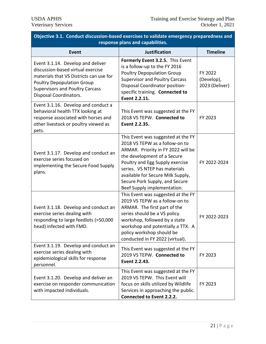Ť.

| Objective 3.1. Conduct discussion-based exercises to validate emergency preparedness and<br>response plans and capabilities.                                                                                               |                                                                                                                                                                                                                                                                                                                     |                                         |
|----------------------------------------------------------------------------------------------------------------------------------------------------------------------------------------------------------------------------|---------------------------------------------------------------------------------------------------------------------------------------------------------------------------------------------------------------------------------------------------------------------------------------------------------------------|-----------------------------------------|
| <b>Event</b>                                                                                                                                                                                                               | <b>Justification</b>                                                                                                                                                                                                                                                                                                | <b>Timeline</b>                         |
| Event 3.1.14. Develop and deliver<br>discussion-based virtual exercise<br>materials that VS Districts can use for<br><b>Poultry Depopulation Group</b><br><b>Supervisors and Poultry Carcass</b><br>Disposal Coordinators. | Formerly Event 3.2.5. This Event<br>is a follow-up to the FY 2016<br><b>Poultry Depopulation Group</b><br><b>Supervisor and Poultry Carcass</b><br>Disposal Coordinator position-<br>specific training. Connected to<br>Event 2.2.11.                                                                               | FY 2022<br>(Develop),<br>2023 (Deliver) |
| Event 3.1.16. Develop and conduct a<br>behavioral health TTX looking at<br>response associated with horses and<br>other livestock or poultry viewed as<br>pets.                                                            | This Event was suggested at the FY<br>2018 VS TEPW. Connected to<br>Event 2.2.35.                                                                                                                                                                                                                                   | FY 2023                                 |
| Event 3.1.17. Develop and conduct an<br>exercise series focused on<br>implementing the Secure Food Supply<br>plans.                                                                                                        | This Event was suggested at the FY<br>2018 VS TEPW as a follow-on to<br>ARMAR. Priority in FY 2022 will be<br>the development of a Secure<br>Poultry and Egg Supply exercise<br>series. VS NTEP has materials<br>available for Secure Milk Supply,<br>Secure Pork Supply, and Secure<br>Beef Supply implementation. | FY 2022-2024                            |
| Event 3.1.18. Develop and conduct an<br>exercise series dealing with<br>responding to large feedlots (>50,000<br>head) infected with FMD.                                                                                  | This Event was suggested at the FY<br>2019 VS TEPW as a follow-on to<br>ARMAR. The first part of the<br>series should be a VS policy<br>workshop, followed by a state<br>workshop and potentially a TTX. A<br>policy workshop should be<br>conducted in FY 2022 (virtual).                                          | FY 2022-2023                            |
| Event 3.1.19. Develop and conduct an<br>exercise series dealing with<br>epidemiological skills for response<br>personnel.                                                                                                  | This Event was suggested at the FY<br>2019 VS TEPW. Connected to<br>Event 2.2.43.                                                                                                                                                                                                                                   | FY 2023                                 |
| Event 3.1.20. Develop and deliver an<br>exercise on responder communication<br>with impacted individuals.                                                                                                                  | This Event was suggested at the FY<br>2019 VS TEPW. This Event will<br>focus on skills utilized by Wildlife<br>Services in approaching the public.<br>Connected to Event 2.2.2.                                                                                                                                     | FY 2023                                 |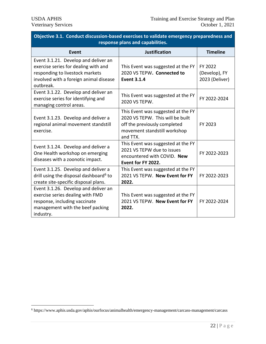m.

| Objective 3.1. Conduct discussion-based exercises to validate emergency preparedness and<br>response plans and capabilities.                                           |                                                                                                                                                    |                                            |
|------------------------------------------------------------------------------------------------------------------------------------------------------------------------|----------------------------------------------------------------------------------------------------------------------------------------------------|--------------------------------------------|
| <b>Event</b>                                                                                                                                                           | <b>Justification</b>                                                                                                                               | <b>Timeline</b>                            |
| Event 3.1.21. Develop and deliver an<br>exercise series for dealing with and<br>responding to livestock markets<br>involved with a foreign animal disease<br>outbreak. | This Event was suggested at the FY<br>2020 VS TEPW. Connected to<br><b>Event 3.1.4</b>                                                             | FY 2022<br>(Develop), FY<br>2023 (Deliver) |
| Event 3.1.22. Develop and deliver an<br>exercise series for identifying and<br>managing control areas.                                                                 | This Event was suggested at the FY<br>2020 VS TEPW.                                                                                                | FY 2022-2024                               |
| Event 3.1.23. Develop and deliver a<br>regional animal movement standstill<br>exercise.                                                                                | This Event was suggested at the FY<br>2020 VS TEPW. This will be built<br>off the previously completed<br>movement standstill workshop<br>and TTX. | FY 2023                                    |
| Event 3.1.24. Develop and deliver a<br>One Health workshop on emerging<br>diseases with a zoonotic impact.                                                             | This Event was suggested at the FY<br>2021 VS TEPW due to issues<br>encountered with COVID. New<br>Event for FY 2022.                              | FY 2022-2023                               |
| Event 3.1.25. Develop and deliver a<br>drill using the disposal dashboard <sup>6</sup> to<br>create site-specific disposal plans.                                      | This Event was suggested at the FY<br>2021 VS TEPW. New Event for FY<br>2022.                                                                      | FY 2022-2023                               |
| Event 3.1.26. Develop and deliver an<br>exercise series dealing with FMD<br>response, including vaccinate<br>management with the beef packing<br>industry.             | This Event was suggested at the FY<br>2021 VS TEPW. New Event for FY<br>2022.                                                                      | FY 2022-2024                               |

<sup>6</sup> https://www.aphis.usda.gov/aphis/ourfocus/animalhealth/emergency-management/carcass-management/carcass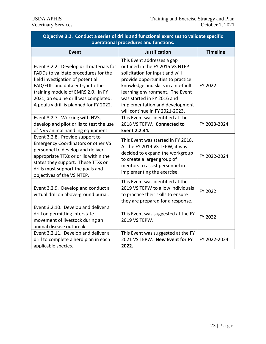÷,

| Objective 3.2. Conduct a series of drills and functional exercises to validate specific<br>operational procedures and functions.                                                                                                                                                  |                                                                                                                                                                                                                                                                                                                  |                 |
|-----------------------------------------------------------------------------------------------------------------------------------------------------------------------------------------------------------------------------------------------------------------------------------|------------------------------------------------------------------------------------------------------------------------------------------------------------------------------------------------------------------------------------------------------------------------------------------------------------------|-----------------|
| <b>Event</b>                                                                                                                                                                                                                                                                      | <b>Justification</b>                                                                                                                                                                                                                                                                                             | <b>Timeline</b> |
| Event 3.2.2. Develop drill materials for<br>FADDs to validate procedures for the<br>field investigation of potential<br>FAD/EDIs and data entry into the<br>training module of EMRS 2.0. In FY<br>2021, an equine drill was completed.<br>A poultry drill is planned for FY 2022. | This Event addresses a gap<br>outlined in the FY 2015 VS NTEP<br>solicitation for input and will<br>provide opportunities to practice<br>knowledge and skills in a no-fault<br>learning environment. The Event<br>was started in FY 2016 and<br>implementation and development<br>will continue in FY 2021-2023. | FY 2022         |
| Event 3.2.7. Working with NVS,<br>develop and pilot drills to test the use<br>of NVS animal handling equipment.                                                                                                                                                                   | This Event was identified at the<br>2018 VS TEPW. Connected to<br>Event 2.2.34.                                                                                                                                                                                                                                  | FY 2023-2024    |
| Event 3.2.8. Provide support to<br><b>Emergency Coordinators or other VS</b><br>personnel to develop and deliver<br>appropriate TTXs or drills within the<br>states they support. These TTXs or<br>drills must support the goals and<br>objectives of the VS NTEP.                | This Event was started in FY 2018.<br>At the FY 2019 VS TEPW, it was<br>decided to expand the workgroup<br>to create a larger group of<br>mentors to assist personnel in<br>implementing the exercise.                                                                                                           | FY 2022-2024    |
| Event 3.2.9. Develop and conduct a<br>virtual drill on above-ground burial.                                                                                                                                                                                                       | This Event was identified at the<br>2019 VS TEPW to allow individuals<br>to practice their skills to ensure<br>they are prepared for a response.                                                                                                                                                                 | FY 2022         |
| Event 3.2.10. Develop and deliver a<br>drill on permitting interstate<br>movement of livestock during an<br>animal disease outbreak                                                                                                                                               | This Event was suggested at the FY<br>2019 VS TEPW.                                                                                                                                                                                                                                                              | FY 2022         |
| Event 3.2.11. Develop and deliver a<br>drill to complete a herd plan in each<br>applicable species.                                                                                                                                                                               | This Event was suggested at the FY<br>2021 VS TEPW. New Event for FY<br>2022.                                                                                                                                                                                                                                    | FY 2022-2024    |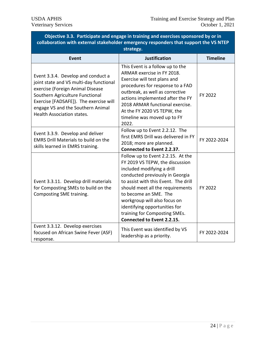| Objective 3.3. Participate and engage in training and exercises sponsored by or in<br>collaboration with external stakeholder emergency responders that support the VS NTEP<br>strategy.                                                                                 |                                                                                                                                                                                                                                                                                                                                                                            |                 |
|--------------------------------------------------------------------------------------------------------------------------------------------------------------------------------------------------------------------------------------------------------------------------|----------------------------------------------------------------------------------------------------------------------------------------------------------------------------------------------------------------------------------------------------------------------------------------------------------------------------------------------------------------------------|-----------------|
| <b>Event</b>                                                                                                                                                                                                                                                             | <b>Justification</b>                                                                                                                                                                                                                                                                                                                                                       | <b>Timeline</b> |
| Event 3.3.4. Develop and conduct a<br>joint state and VS multi-day functional<br>exercise (Foreign Animal Disease<br>Southern Agriculture Functional<br>Exercise [FADSAFE]). The exercise will<br>engage VS and the Southern Animal<br><b>Health Association states.</b> | This Event is a follow up to the<br>ARMAR exercise in FY 2018.<br>Exercise will test plans and<br>procedures for response to a FAD<br>outbreak, as well as corrective<br>actions implemented after the FY<br>2018 ARMAR functional exercise.<br>At the FY 2020 VS TEPW, the<br>timeline was moved up to FY<br>2022.                                                        | FY 2022         |
| Event 3.3.9. Develop and deliver<br><b>EMRS Drill Materials to build on the</b><br>skills learned in EMRS training.                                                                                                                                                      | Follow up to Event 2.2.12. The<br>first EMRS Drill was delivered in FY<br>2018; more are planned.<br>Connected to Event 2.2.37.                                                                                                                                                                                                                                            | FY 2022-2024    |
| Event 3.3.11. Develop drill materials<br>for Composting SMEs to build on the<br>Composting SME training.                                                                                                                                                                 | Follow up to Event 2.2.15. At the<br>FY 2019 VS TEPW, the discussion<br>included modifying a drill<br>conducted previously in Georgia<br>to assist with this Event. The drill<br>should meet all the requirements<br>to become an SME. The<br>workgroup will also focus on<br>identifying opportunities for<br>training for Composting SMEs.<br>Connected to Event 2.2.15. | FY 2022         |
| Event 3.3.12. Develop exercises<br>focused on African Swine Fever (ASF)<br>response.                                                                                                                                                                                     | This Event was identified by VS<br>leadership as a priority.                                                                                                                                                                                                                                                                                                               | FY 2022-2024    |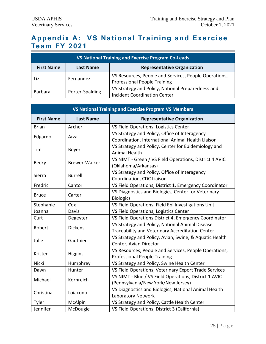## <span id="page-32-0"></span>**Appendix A: VS National Training and Exercise Team FY 2021**

| <b>VS National Training and Exercise Program Co-Leads</b> |                  |                                                                                              |
|-----------------------------------------------------------|------------------|----------------------------------------------------------------------------------------------|
| <b>First Name</b>                                         | <b>Last Name</b> | <b>Representative Organization</b>                                                           |
| Liz                                                       | Fernandez        | VS Resources, People and Services, People Operations,<br><b>Professional People Training</b> |
| <b>Barbara</b>                                            | Porter-Spalding  | VS Strategy and Policy, National Preparedness and<br><b>Incident Coordination Center</b>     |

| <b>VS National Training and Exercise Program VS Members</b> |                  |                                                        |
|-------------------------------------------------------------|------------------|--------------------------------------------------------|
| <b>First Name</b>                                           | <b>Last Name</b> | <b>Representative Organization</b>                     |
| <b>Brian</b>                                                | Archer           | VS Field Operations, Logistics Center                  |
|                                                             |                  | VS Strategy and Policy, Office of Interagency          |
| Edgardo                                                     | Arza             | Coordination, International Animal Health Liaison      |
| Tim                                                         | Boyer            | VS Strategy and Policy, Center for Epidemiology and    |
|                                                             |                  | Animal Health                                          |
| <b>Becky</b>                                                | Brewer-Walker    | VS NIMT - Green / VS Field Operations, District 4 AVIC |
|                                                             |                  | (Oklahoma/Arkansas)                                    |
| Sierra                                                      | <b>Burrell</b>   | VS Strategy and Policy, Office of Interagency          |
|                                                             |                  | Coordination, CDC Liaison                              |
| Fredric                                                     | Cantor           | VS Field Operations, District 1, Emergency Coordinator |
| <b>Bruce</b>                                                | Carter           | VS Diagnostics and Biologics, Center for Veterinary    |
|                                                             |                  | <b>Biologics</b>                                       |
| Stephanie                                                   | Cox              | VS Field Operations, Field Epi Investigations Unit     |
| Joanna                                                      | Davis            | VS Field Operations, Logistics Center                  |
| Curt                                                        | Degeyter         | VS Field Operations District 4, Emergency Coordinator  |
| Robert                                                      | <b>Dickens</b>   | VS Strategy and Policy, National Animal Disease        |
|                                                             |                  | Traceability and Veterinary Accreditation Center       |
| Julie                                                       | Gauthier         | VS Strategy and Policy, Avian, Swine, & Aquatic Health |
|                                                             |                  | Center, Avian Director                                 |
| Kristen                                                     | <b>Higgins</b>   | VS Resources, People and Services, People Operations,  |
|                                                             |                  | <b>Professional People Training</b>                    |
| Nicki                                                       | Humphrey         | VS Strategy and Policy, Swine Health Center            |
| Dawn                                                        | Hunter           | VS Field Operations, Veterinary Export Trade Services  |
| Michael                                                     | Kornreich        | VS NIMT - Blue / VS Field Operations, District 1 AVIC  |
|                                                             |                  | (Pennsylvania/New York/New Jersey)                     |
| Christina                                                   |                  | VS Diagnostics and Biologics, National Animal Health   |
|                                                             | Loiacono         | <b>Laboratory Network</b>                              |
| Tyler                                                       | McAlpin          | VS Strategy and Policy, Cattle Health Center           |
| Jennifer                                                    | McDougle         | VS Field Operations, District 3 (California)           |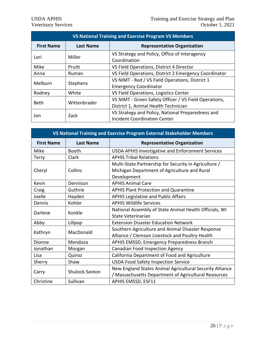| <b>VS National Training and Exercise Program VS Members</b> |                  |                                                                                               |
|-------------------------------------------------------------|------------------|-----------------------------------------------------------------------------------------------|
| <b>First Name</b>                                           | <b>Last Name</b> | <b>Representative Organization</b>                                                            |
| Lori                                                        | Miller           | VS Strategy and Policy, Office of Interagency<br>Coordination                                 |
| Mike                                                        | Pruitt           | VS Field Operations, District 4 Director                                                      |
| Anna                                                        | Ruman            | VS Field Operations, District 2 Emergency Coordinator                                         |
| Melburn                                                     | Stephens         | VS NIMT - Red / VS Field Operations, District 1<br><b>Emergency Coordinator</b>               |
| Rodney                                                      | White            | VS Field Operations, Logistics Center                                                         |
| <b>Beth</b>                                                 | Wittenbrader     | VS NIMT - Green Safety Officer / VS Field Operations,<br>District 1, Animal Health Technician |
| Jon                                                         | Zack             | VS Strategy and Policy, National Preparedness and<br><b>Incident Coordination Center</b>      |

| VS National Training and Exercise Program External Stakeholder Members |                  |                                                          |  |
|------------------------------------------------------------------------|------------------|----------------------------------------------------------|--|
| <b>First Name</b>                                                      | <b>Last Name</b> | <b>Representative Organization</b>                       |  |
| Mike                                                                   | <b>Booth</b>     | USDA APHIS Investigative and Enforcement Services        |  |
| <b>Terry</b>                                                           | Clark            | <b>APHIS Tribal Relations</b>                            |  |
|                                                                        |                  | Multi-State Partnership for Security in Agriculture /    |  |
| Cheryl                                                                 | Collins          | Michigan Department of Agriculture and Rural             |  |
|                                                                        |                  | Development                                              |  |
| Kevin                                                                  | Dennison         | <b>APHIS Animal Care</b>                                 |  |
| Craig                                                                  | Guthrie          | <b>APHIS Plant Protection and Quarantine</b>             |  |
| Joelle                                                                 | Hayden           | <b>APHIS Legislative and Public Affairs</b>              |  |
| Dennis                                                                 | Kohler           | <b>APHIS Wildlife Services</b>                           |  |
| Darlene                                                                | Konkle           | National Assembly of State Animal Health Officials, WI   |  |
|                                                                        |                  | State Veterinarian                                       |  |
| Abby                                                                   | Lillpop          | <b>Extension Disaster Education Network</b>              |  |
| MacDonald                                                              |                  | Southern Agriculture and Animal Disaster Response        |  |
| Kathryn                                                                |                  | Alliance / Clemson Livestock and Poultry Health          |  |
| Dionne                                                                 | Mendoza          | APHIS EMSSD, Emergency Preparedness Branch               |  |
| Jonathan                                                               | Morgan           | <b>Canadian Food Inspection Agency</b>                   |  |
| Lisa                                                                   | Quiroz           | California Department of Food and Agriculture            |  |
| Sherry                                                                 | Shaw             | <b>USDA Food Safety Inspection Service</b>               |  |
|                                                                        |                  | New England States Animal Agricultural Security Alliance |  |
| Shulock-Sexton<br>Carry                                                |                  | / Massachusetts Department of Agricultural Resources     |  |
| Christine                                                              | Sullivan         | APHIS EMSSD, ESF11                                       |  |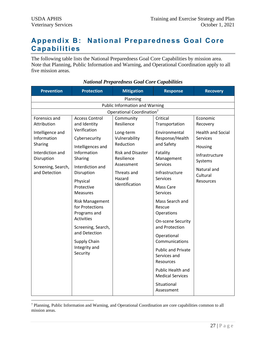## <span id="page-34-0"></span>**Appendix B: National Preparedness Goal Core Capabilities**

The following table lists the National Preparedness Goal Core Capabilities by mission area. Note that Planning, Public Information and Warning, and Operational Coordination apply to all five mission areas.

| <b>Prevention</b>  | <b>Protection</b>                                                                                                                     | <b>Mitigation</b>                     | <b>Response</b>                                                      | <b>Recovery</b>          |
|--------------------|---------------------------------------------------------------------------------------------------------------------------------------|---------------------------------------|----------------------------------------------------------------------|--------------------------|
| Planning           |                                                                                                                                       |                                       |                                                                      |                          |
|                    |                                                                                                                                       | <b>Public Information and Warning</b> |                                                                      |                          |
|                    |                                                                                                                                       | Operational Coordination <sup>7</sup> |                                                                      |                          |
| Forensics and      | <b>Access Control</b>                                                                                                                 | Community                             | Critical                                                             | Economic                 |
| Attribution        | and Identity                                                                                                                          | Resilience                            | Transportation                                                       | Recovery                 |
| Intelligence and   | Verification                                                                                                                          | Long-term                             | Environmental                                                        | <b>Health and Social</b> |
| Information        | Cybersecurity                                                                                                                         | Vulnerability                         | Response/Health                                                      | <b>Services</b>          |
| Sharing            | Intelligences and                                                                                                                     | Reduction                             | and Safety                                                           | Housing                  |
| Interdiction and   | Information                                                                                                                           | <b>Risk and Disaster</b>              | Fatality                                                             | Infrastructure           |
| Disruption         | Sharing                                                                                                                               | Resilience                            | Management                                                           | Systems                  |
| Screening, Search, | Interdiction and                                                                                                                      | Assessment                            | <b>Services</b>                                                      | Natural and              |
| and Detection      | Disruption                                                                                                                            | Threats and                           | Infrastructure                                                       | Cultural                 |
|                    | Physical<br>Protective<br><b>Measures</b>                                                                                             | Hazard<br>Identification              | <b>Services</b>                                                      | Resources                |
|                    |                                                                                                                                       |                                       | Mass Care                                                            |                          |
|                    |                                                                                                                                       |                                       | <b>Services</b>                                                      |                          |
|                    | <b>Risk Management</b><br>for Protections<br>Programs and<br><b>Activities</b><br>Screening, Search,<br>and Detection<br>Supply Chain |                                       | Mass Search and                                                      |                          |
|                    |                                                                                                                                       |                                       | Rescue<br>Operations                                                 |                          |
|                    |                                                                                                                                       |                                       |                                                                      |                          |
|                    |                                                                                                                                       |                                       | On-scene Security<br>and Protection<br>Operational<br>Communications |                          |
|                    |                                                                                                                                       |                                       |                                                                      |                          |
|                    |                                                                                                                                       |                                       |                                                                      |                          |
|                    |                                                                                                                                       |                                       |                                                                      |                          |
|                    | Integrity and<br>Security                                                                                                             |                                       | <b>Public and Private</b>                                            |                          |
|                    |                                                                                                                                       |                                       | Services and                                                         |                          |
|                    |                                                                                                                                       |                                       | Resources                                                            |                          |
|                    |                                                                                                                                       |                                       | Public Health and                                                    |                          |
|                    |                                                                                                                                       |                                       | <b>Medical Services</b>                                              |                          |
|                    |                                                                                                                                       |                                       | Situational                                                          |                          |
|                    |                                                                                                                                       |                                       | Assessment                                                           |                          |

#### *National Preparedness Goal Core Capabilities*

<sup>7</sup> Planning, Public Information and Warning, and Operational Coordination are core capabilities common to all mission areas.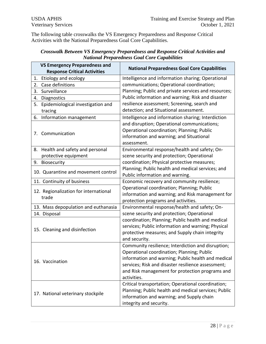The following table crosswalks the VS Emergency Preparedness and Response Critical Activities with the National Preparedness Goal Core Capabilities.

| <b>VS Emergency Preparedness and</b><br><b>Response Critical Activities</b> | <b>National Preparedness Goal Core Capabilities</b>                                                                                                  |
|-----------------------------------------------------------------------------|------------------------------------------------------------------------------------------------------------------------------------------------------|
| 1. Etiology and ecology                                                     | Intelligence and information sharing; Operational                                                                                                    |
| Case definitions<br>2.                                                      | communications; Operational coordination;                                                                                                            |
| 3.<br>Surveillance                                                          | Planning; Public and private services and resources;                                                                                                 |
| Diagnostics<br>4.                                                           | Public information and warning; Risk and disaster                                                                                                    |
| Epidemiological investigation and<br>5.                                     | resilience assessment; Screening, search and                                                                                                         |
| tracing                                                                     | detection; and Situational assessment.                                                                                                               |
| 6. Information management                                                   | Intelligence and information sharing; Interdiction                                                                                                   |
| 7. Communication                                                            | and disruption; Operational communications;<br>Operational coordination; Planning; Public<br>information and warning; and Situational<br>assessment. |
| 8. Health and safety and personal                                           | Environmental response/health and safety; On-                                                                                                        |
| protective equipment                                                        | scene security and protection; Operational                                                                                                           |
| 9. Biosecurity                                                              | coordination; Physical protective measures;                                                                                                          |
| 10. Quarantine and movement control                                         | Planning; Public health and medical services; and                                                                                                    |
|                                                                             | Public information and warning.                                                                                                                      |
| 11. Continuity of business                                                  | Economic recovery and community resilience;                                                                                                          |
| 12. Regionalization for international                                       | Operational coordination; Planning; Public                                                                                                           |
| trade                                                                       | information and warning; and Risk management for                                                                                                     |
|                                                                             | protection programs and activities.                                                                                                                  |
| 13. Mass depopulation and euthanasia                                        | Environmental response/health and safety; On-                                                                                                        |
| 14. Disposal                                                                | scene security and protection; Operational                                                                                                           |
|                                                                             | coordination; Planning; Public health and medical                                                                                                    |
| 15. Cleaning and disinfection                                               | services; Public information and warning; Physical                                                                                                   |
|                                                                             | protective measures; and Supply chain integrity                                                                                                      |
|                                                                             | and security.                                                                                                                                        |
|                                                                             | Community resilience; Interdiction and disruption;                                                                                                   |
|                                                                             | Operational coordination; Planning; Public                                                                                                           |
| 16. Vaccination                                                             | information and warning; Public health and medical                                                                                                   |
|                                                                             | services; Risk and disaster resilience assessment;                                                                                                   |
|                                                                             | and Risk management for protection programs and                                                                                                      |
|                                                                             | activities.                                                                                                                                          |
|                                                                             | Critical transportation; Operational coordination;                                                                                                   |
| 17. National veterinary stockpile                                           | Planning; Public health and medical services; Public                                                                                                 |
|                                                                             | information and warning; and Supply chain                                                                                                            |
|                                                                             | integrity and security.                                                                                                                              |

*Crosswalk Between VS Emergency Preparedness and Response Critical Activities and National Preparedness Goal Core Capabilities*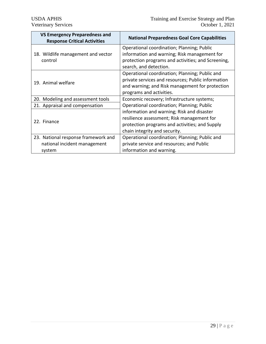| <b>VS Emergency Preparedness and</b><br><b>Response Critical Activities</b> | <b>National Preparedness Goal Core Capabilities</b> |
|-----------------------------------------------------------------------------|-----------------------------------------------------|
|                                                                             | Operational coordination; Planning; Public          |
| 18. Wildlife management and vector                                          | information and warning; Risk management for        |
| control                                                                     | protection programs and activities; and Screening,  |
|                                                                             | search, and detection.                              |
|                                                                             | Operational coordination; Planning; Public and      |
| 19. Animal welfare                                                          | private services and resources; Public information  |
|                                                                             | and warning; and Risk management for protection     |
|                                                                             | programs and activities.                            |
| 20. Modeling and assessment tools                                           | Economic recovery; Infrastructure systems;          |
| 21. Appraisal and compensation                                              | Operational coordination; Planning; Public          |
|                                                                             | information and warning; Risk and disaster          |
| 22. Finance                                                                 | resilience assessment; Risk management for          |
|                                                                             | protection programs and activities; and Supply      |
|                                                                             | chain integrity and security.                       |
| 23. National response framework and                                         | Operational coordination; Planning; Public and      |
| national incident management                                                | private service and resources; and Public           |
| system                                                                      | information and warning.                            |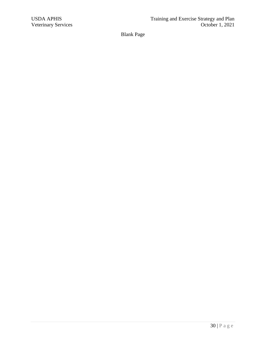Blank Page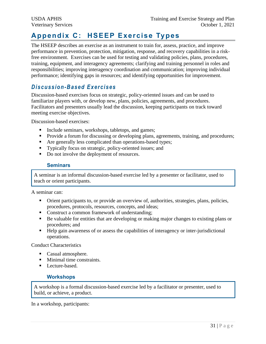## <span id="page-38-0"></span>**Appendix C: HSEEP Exercise Types**

The HSEEP describes an exercise as an instrument to train for, assess, practice, and improve performance in prevention, protection, mitigation, response, and recovery capabilities in a riskfree environment. Exercises can be used for testing and validating policies, plans, procedures, training, equipment, and interagency agreements; clarifying and training personnel in roles and responsibilities; improving interagency coordination and communication; improving individual performance; identifying gaps in resources; and identifying opportunities for improvement.

## *Discussion-Based Exercises*

Discussion-based exercises focus on strategic, policy-oriented issues and can be used to familiarize players with, or develop new, plans, policies, agreements, and procedures. Facilitators and presenters usually lead the discussion, keeping participants on track toward meeting exercise objectives.

Discussion-based exercises:

- Include seminars, workshops, tabletops, and games;
- Provide a forum for discussing or developing plans, agreements, training, and procedures;
- Are generally less complicated than operations-based types;
- Typically focus on strategic, policy-oriented issues; and
- Do not involve the deployment of resources.

#### **Seminars**

A seminar is an informal discussion-based exercise led by a presenter or facilitator, used to teach or orient participants.

A seminar can:

- Orient participants to, or provide an overview of, authorities, strategies, plans, policies, procedures, protocols, resources, concepts, and ideas;
- Construct a common framework of understanding;
- Be valuable for entities that are developing or making major changes to existing plans or procedures; and
- Help gain awareness of or assess the capabilities of interagency or inter-jurisdictional operations.

Conduct Characteristics

- Casual atmosphere.
- Minimal time constraints.
- Lecture-based.

#### **Workshops**

A workshop is a formal discussion-based exercise led by a facilitator or presenter, used to build, or achieve, a product.

In a workshop, participants: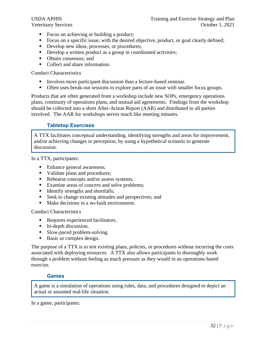- Focus on achieving or building a product;
- Focus on a specific issue, with the desired objective, product, or goal clearly defined;
- Develop new ideas, processes, or procedures;
- Develop a written product as a group in coordinated activities;
- Obtain consensus; and
- Collect and share information.

#### Conduct Characteristics

- Involves more participant discussion than a lecture-based seminar.
- **•** Often uses break-out sessions to explore parts of an issue with smaller focus groups.

Products that are often generated from a workshop include new SOPs, emergency operations plans, continuity of operations plans, and mutual aid agreements. Findings from the workshop should be collected into a short After-Action Report (AAR) and distributed to all parties involved. The AAR for workshops serves much like meeting minutes.

#### **Tabletop Exercises**

A TTX facilitates conceptual understanding, identifying strengths and areas for improvement, and/or achieving changes in perception, by using a hypothetical scenario to generate discussion.

In a TTX, participants:

- Enhance general awareness;
- Validate plans and procedures;
- Rehearse concepts and/or assess systems;
- Examine areas of concern and solve problems;
- **•** Identify strengths and shortfalls;
- Seek to change existing attitudes and perspectives; and
- Make decisions in a no-fault environment.

Conduct Characteristics

- Requires experienced facilitators.
- In-depth discussion.
- Slow-paced problem-solving.
- Basic or complex design.

The purpose of a TTX is to test existing plans, policies, or procedures without incurring the costs associated with deploying resources. A TTX also allows participants to thoroughly work through a problem without feeling as much pressure as they would in an operations-based exercise.

#### **Games**

A game is a simulation of operations using rules, data, and procedures designed to depict an actual or assumed real-life situation.

In a game, participants: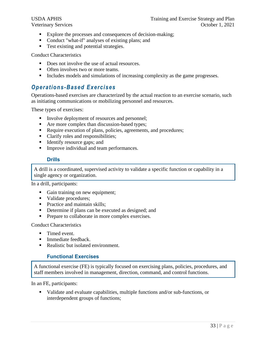- Explore the processes and consequences of decision-making;
- Conduct "what-if" analyses of existing plans; and
- Test existing and potential strategies.

Conduct Characteristics

- Does not involve the use of actual resources.
- **•** Often involves two or more teams.
- Includes models and simulations of increasing complexity as the game progresses.

### *Operations-Based Exercises*

Operations-based exercises are characterized by the actual reaction to an exercise scenario, such as initiating communications or mobilizing personnel and resources.

These types of exercises:

- Involve deployment of resources and personnel;
- Are more complex than discussion-based types;
- Require execution of plans, policies, agreements, and procedures;
- Clarify roles and responsibilities;
- Identify resource gaps; and
- **Improve individual and team performances.**

#### **Drills**

A drill is a coordinated, supervised activity to validate a specific function or capability in a single agency or organization.

In a drill, participants:

- Gain training on new equipment;
- Validate procedures;
- Practice and maintain skills:
- Determine if plans can be executed as designed; and
- **•** Prepare to collaborate in more complex exercises.

Conduct Characteristics

- Timed event.
- Immediate feedback.
- Realistic but isolated environment.

#### **Functional Exercises**

A functional exercise (FE) is typically focused on exercising plans, policies, procedures, and staff members involved in management, direction, command, and control functions.

In an FE, participants:

▪ Validate and evaluate capabilities, multiple functions and/or sub-functions, or interdependent groups of functions;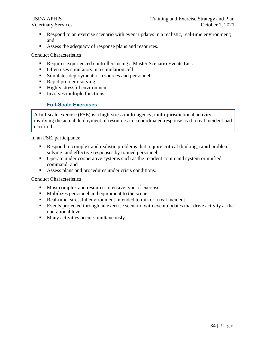- Respond to an exercise scenario with event updates in a realistic, real-time environment; and
- Assess the adequacy of response plans and resources.

Conduct Characteristics

- Requires experienced controllers using a Master Scenario Events List.
- Often uses simulators in a simulation cell.
- Simulates deployment of resources and personnel.
- Rapid problem-solving.
- Highly stressful environment.
- **•** Involves multiple functions.

#### **Full-Scale Exercises**

A full-scale exercise (FSE) is a high-stress multi-agency, multi-jurisdictional activity involving the actual deployment of resources in a coordinated response as if a real incident had occurred.

In an FSE, participants:

- Respond to complex and realistic problems that require critical thinking, rapid problemsolving, and effective responses by trained personnel;
- Operate under cooperative systems such as the incident command system or unified command; and
- Assess plans and procedures under crisis conditions.

Conduct Characteristics

- Most complex and resource-intensive type of exercise.
- Mobilizes personnel and equipment to the scene.
- Real-time, stressful environment intended to mirror a real incident.
- Events projected through an exercise scenario with event updates that drive activity at the operational level.
- Many activities occur simultaneously.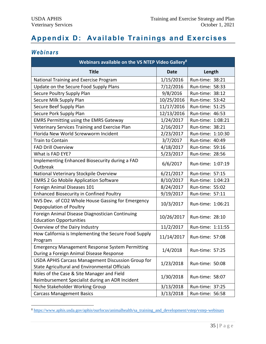## <span id="page-42-0"></span>**Appendix D: Available Trainings and Exercises**

## *W ebinars*

| Webinars available on the VS NTEP Video Gallery <sup>8</sup>                                         |                              |                   |  |
|------------------------------------------------------------------------------------------------------|------------------------------|-------------------|--|
| <b>Title</b>                                                                                         | <b>Date</b>                  | Length            |  |
| National Training and Exercise Program                                                               | 1/15/2016                    | Run-time: 38:21   |  |
| Update on the Secure Food Supply Plans                                                               | 7/12/2016                    | Run-time: 58:33   |  |
| Secure Poultry Supply Plan                                                                           | 9/8/2016                     | Run-time: 38:12   |  |
| Secure Milk Supply Plan                                                                              | 10/25/2016                   | Run-time: 53:42   |  |
| Secure Beef Supply Plan                                                                              | 11/17/2016                   | Run-time: 51:25   |  |
| Secure Pork Supply Plan                                                                              | 12/13/2016                   | Run-time: 46:53   |  |
| <b>EMRS Permitting using the EMRS Gateway</b>                                                        | 1/24/2017                    | Run-time: 1:08:21 |  |
| Veterinary Services Training and Exercise Plan                                                       | 2/16/2017                    | Run-time: 38:21   |  |
| Florida New World Screwworm Incident                                                                 | 2/23/2017                    | Run-time: 1:10:30 |  |
| Train to Contain                                                                                     | 3/7/2017                     | Run-time: 40:49   |  |
| <b>FAD Drill Overview</b>                                                                            | 4/18/2017                    | Run-time: 59:16   |  |
| What is FAD EYE?                                                                                     | 5/23/2017                    | Run-time: 28:56   |  |
| Implementing Enhanced Biosecurity during a FAD<br>Outbreak                                           | 6/6/2017                     | Run-time: 1:07:19 |  |
| National Veterinary Stockpile Overview                                                               | 6/21/2017                    | Run-time: 57:15   |  |
| <b>EMRS 2 Go Mobile Application Software</b>                                                         | 8/10/2017                    | Run-time: 1:04:23 |  |
| Foreign Animal Diseases 101                                                                          | 8/24/2017                    | Run-time: 55:02   |  |
| <b>Enhanced Biosecurity in Confined Poultry</b>                                                      | 9/19/2017                    | Run-time: 57:11   |  |
| NVS Dev. of CO2 Whole House Gassing for Emergency<br>Depopulation of Poultry                         | 10/3/2017                    | Run-time: 1:06:21 |  |
| Foreign Animal Disease Diagnostician Continuing<br><b>Education Opportunities</b>                    | 10/26/2017                   | Run-time: 28:10   |  |
| Overview of the Dairy Industry                                                                       | 11/2/2017                    | Run-time: 1:11:55 |  |
| How California is Implementing the Secure Food Supply<br>Program                                     | 11/14/2017                   | Run-time: 57:08   |  |
| <b>Emergency Management Response System Permitting</b><br>During a Foreign Animal Disease Response   | 1/4/2018                     | Run-time: 57:25   |  |
| USDA APHIS Carcass Management Discussion Group for<br>State Agricultural and Environmental Officials | 1/23/2018                    | Run-time: 50:08   |  |
| Roles of the Case & Site Manager and Field<br>Reimbursement Specialist during an ADR Incident        | 1/30/2018                    | Run-time: 58:07   |  |
| Niche Stakeholder Working Group                                                                      | 3/13/2018<br>Run-time: 37:25 |                   |  |
| <b>Carcass Management Basics</b>                                                                     | 3/13/2018                    | Run-time: 56:58   |  |

<sup>8</sup> https://www.aphis.usda.gov/aphis/ourfocus/animalhealth/sa\_training\_and\_development/vstep/vstep-webinars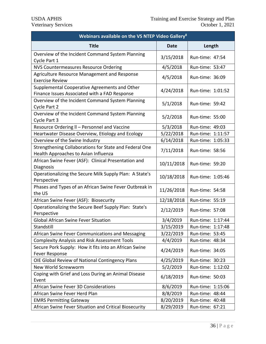| Webinars available on the VS NTEP Video Gallery <sup>8</sup>                                   |             |                   |  |  |
|------------------------------------------------------------------------------------------------|-------------|-------------------|--|--|
| <b>Title</b>                                                                                   | <b>Date</b> | Length            |  |  |
| Overview of the Incident Command System Planning<br>Cycle Part 1                               | 3/15/2018   | Run-time: 47:54   |  |  |
| <b>NVS Countermeasures Resource Ordering</b>                                                   | 4/5/2018    | Run-time: 53:47   |  |  |
| Agriculture Resource Management and Response<br><b>Exercise Review</b>                         | 4/5/2018    | Run-time: 36:09   |  |  |
| Supplemental Cooperative Agreements and Other<br>Finance Issues Associated with a FAD Response | 4/24/2018   | Run-time: 1:01:52 |  |  |
| Overview of the Incident Command System Planning<br>Cycle Part 2                               | 5/1/2018    | Run-time: 59:42   |  |  |
| Overview of the Incident Command System Planning<br>Cycle Part 3                               | 5/2/2018    | Run-time: 55:00   |  |  |
| Resource Ordering II - Personnel and Vaccine                                                   | 5/3/2018    | Run-time: 49:03   |  |  |
| Heartwater Disease Overview, Etiology and Ecology                                              | 5/22/2018   | Run-time: 1:11:57 |  |  |
| Overview of the Swine Industry                                                                 | 6/14/2018   | Run-time: 1:05:33 |  |  |
| Strengthening Collaborations for State and Federal One<br>Health Approaches to Avian Influenza | 7/11/2018   | Run-time: 58:56   |  |  |
| African Swine Fever (ASF): Clinical Presentation and<br>Diagnosis                              | 10/11/2018  | Run-time: 59:20   |  |  |
| Operationalizing the Secure Milk Supply Plan: A State's<br>Perspective                         | 10/18/2018  | Run-time: 1:05:46 |  |  |
| Phases and Types of an African Swine Fever Outbreak in<br>the US                               | 11/26/2018  | Run-time: 54:58   |  |  |
| African Swine Fever (ASF): Biosecurity                                                         | 12/18/2018  | Run-time: 55:19   |  |  |
| Operationalizing the Secure Beef Supply Plan: State's<br>Perspective                           | 2/12/2019   | Run-time: 57:08   |  |  |
| <b>Global African Swine Fever Situation</b>                                                    | 3/4/2019    | Run-time: 1:17:44 |  |  |
| Standstill                                                                                     | 3/15/2019   | Run-time: 1:17:48 |  |  |
| African Swine Fever Communications and Messaging                                               | 3/22/2019   | Run-time: 53:45   |  |  |
| <b>Complexity Analysis and Risk Assessment Tools</b>                                           | 4/4/2019    | Run-time: 48:34   |  |  |
| Secure Pork Supply: How it fits into an African Swine<br><b>Fever Response</b>                 | 4/24/2019   | Run-time: 34:05   |  |  |
| OIE Global Review of National Contingency Plans                                                | 4/25/2019   | Run-time: 30:23   |  |  |
| New World Screwworm                                                                            | 5/2/2019    | Run-time: 1:12:02 |  |  |
| Coping with Grief and Loss During an Animal Disease<br>Event                                   | 6/18/2019   | Run-time: 50:03   |  |  |
| African Swine Fever 3D Considerations                                                          | 8/6/2019    | Run-time: 1:15:06 |  |  |
| African Swine Fever Herd Plan                                                                  | 8/8/2019    | Run-time: 48:44   |  |  |
| <b>EMRS Permitting Gateway</b>                                                                 | 8/20/2019   | Run-time: 40:48   |  |  |
| African Swine Fever Situation and Critical Biosecurity                                         | 8/29/2019   | Run-time: 67:21   |  |  |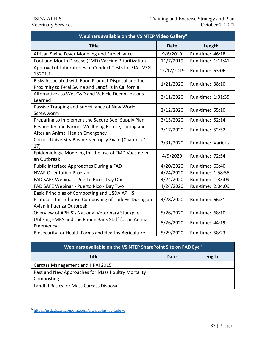| Webinars available on the VS NTEP Video Gallery <sup>8</sup>                                                |             |                   |  |
|-------------------------------------------------------------------------------------------------------------|-------------|-------------------|--|
| <b>Title</b>                                                                                                | <b>Date</b> | Length            |  |
| African Swine Fever Modeling and Surveillance                                                               | 9/6/2019    | Run-time: 46:18   |  |
| Foot and Mouth Disease (FMD) Vaccine Prioritization                                                         | 11/7/2019   | Run-time: 1:11:41 |  |
| Approval of Laboratories to Conduct Tests for EIA - VSG<br>15201.1                                          | 12/17/2019  | Run-time: 53:06   |  |
| Risks Associated with Food Product Disposal and the<br>Proximity to Feral Swine and Landfills in California | 1/21/2020   | Run-time: 38:10   |  |
| Alternatives to Wet C&D and Vehicle Decon Lessons<br>Learned                                                | 2/11/2020   | Run-time: 1:01:35 |  |
| Passive Trapping and Surveillance of New World<br>Screwworm                                                 | 2/12/2020   | Run-time: 55:10   |  |
| Preparing to Implement the Secure Beef Supply Plan                                                          | 2/13/2020   | Run-time: 52:14   |  |
| Responder and Farmer Wellbeing Before, During and<br>After an Animal Health Emergency                       | 3/17/2020   | Run-time: 52:52   |  |
| Cornell University Bovine Necropsy Exam (Chapters 1-<br>17)                                                 | 3/31/2020   | Run-time: Various |  |
| Epidemiologic Modeling for the use of FMD Vaccine in<br>an Outbreak                                         | 4/9/2020    | Run-time: 72:54   |  |
| Public Interface Approaches During a FAD                                                                    | 4/20/2020   | Run-time: 63:40   |  |
| <b>NVAP Orientation Program</b>                                                                             | 4/24/2020   | Run-time: 1:58:55 |  |
| FAD SAFE Webinar - Puerto Rico - Day One                                                                    | 4/24/2020   | Run-time: 1:33:09 |  |
| FAD SAFE Webinar - Puerto Rico - Day Two                                                                    | 4/24/2020   | Run-time: 2:04:09 |  |
| Basic Principles of Composting and USDA APHIS                                                               |             |                   |  |
| Protocols for In-house Composting of Turkeys During an                                                      | 4/28/2020   | Run-time: 66:31   |  |
| Avian Influenza Outbreak                                                                                    |             |                   |  |
| Overview of APHIS's National Veterinary Stockpile                                                           | 5/26/2020   | Run-time: 68:10   |  |
| Utilizing EMRS and the Phone Bank Staff for an Animal<br>Emergency                                          | 5/26/2020   | Run-time: 44:19   |  |
| Biosecurity for Health Farms and Healthy Agriculture                                                        | 5/29/2020   | Run-time: 58:23   |  |

| Webinars available on the VS NTEP SharePoint Site on FAD Eye <sup>9</sup> |      |        |  |
|---------------------------------------------------------------------------|------|--------|--|
| <b>Title</b>                                                              | Date | Length |  |
| Carcass Management and HPAI 2015                                          |      |        |  |
| Past and New Approaches for Mass Poultry Mortality                        |      |        |  |
| Composting                                                                |      |        |  |
| Landfill Basics for Mass Carcass Disposal                                 |      |        |  |

<sup>9</sup> https://usdagcc.sharepoint.com/sites/aphis-vs-fadeye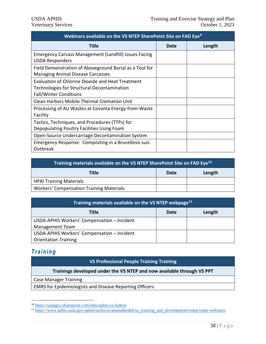| Webinars available on the VS NTEP SharePoint Site on FAD Eye <sup>9</sup>                                                         |      |        |  |  |
|-----------------------------------------------------------------------------------------------------------------------------------|------|--------|--|--|
| <b>Title</b>                                                                                                                      | Date | Length |  |  |
| <b>Emergency Carcass Management (Landfill) Issues Facing</b><br><b>USDA Responders</b>                                            |      |        |  |  |
| Field Demonstration of Aboveground Burial as a Tool for<br><b>Managing Animal Disease Carcasses</b>                               |      |        |  |  |
| Evaluation of Chlorine Dioxide and Heat Treatment<br>Technologies for Structural Decontamination<br><b>Fall/Winter Conditions</b> |      |        |  |  |
| Clean Harbors Mobile Thermal Cremation Unit                                                                                       |      |        |  |  |
| Processing of AU Wastes at Covanta Energy-from-Waste<br>Facility                                                                  |      |        |  |  |
| Tactics, Techniques, and Procedures (TTPs) for<br>Depopulating Poultry Facilities Using Foam                                      |      |        |  |  |
| Open-Source Undercarriage Decontamination System                                                                                  |      |        |  |  |
| Emergency Response: Composting in a Brucellosis suis<br>Outbreak                                                                  |      |        |  |  |

| Training materials available on the VS NTEP SharePoint Site on FAD Eye <sup>10</sup> |      |        |  |
|--------------------------------------------------------------------------------------|------|--------|--|
| Title                                                                                | Date | Length |  |
| <b>HPAI Training Materials</b>                                                       |      |        |  |
| <b>Workers' Compensation Training Materials</b>                                      |      |        |  |

| Training materials available on the VS NTEP webpage <sup>11</sup> |      |        |  |
|-------------------------------------------------------------------|------|--------|--|
| Title                                                             | Date | Length |  |
| USDA-APHIS Workers' Compensation - Incident                       |      |        |  |
| <b>Management Team</b>                                            |      |        |  |
| USDA-APHIS Workers' Compensation - Incident                       |      |        |  |
| <b>Orientation Training</b>                                       |      |        |  |

## *Training*

#### **VS Professional People Training Training**

**Trainings developed under the VS NTEP and now available through VS PPT**

Case Manager Training

EMRS for Epidemiologists and Disease Reporting Officers

<sup>&</sup>lt;sup>10</sup> <https://usdagcc.sharepoint.com/sites/aphis-vs-fadeye>

<sup>&</sup>lt;sup>11</sup> [https://www.aphis.usda.gov/aphis/ourfocus/animalhealth/sa\\_training\\_and\\_development/vstep/vstep-webinars](https://www.aphis.usda.gov/aphis/ourfocus/animalhealth/sa_training_and_development/vstep/vstep-webinars)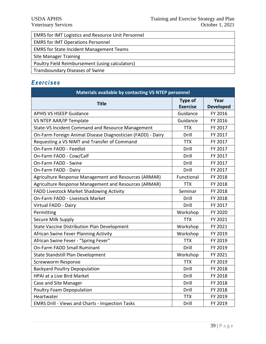EMRS for IMT Logistics and Resource Unit Personnel

EMRS for IMT Operations Personnel

EMRS for State Incident Management Teams

Site Manager Training

Poultry Field Reimbursement (using calculators)

Transboundary Diseases of Swine

## *Exercises*

| Materials available by contacting VS NTEP personnel         |                 |                  |  |  |
|-------------------------------------------------------------|-----------------|------------------|--|--|
| <b>Title</b>                                                | Type of         | Year             |  |  |
|                                                             | <b>Exercise</b> | <b>Developed</b> |  |  |
| <b>APHIS VS HSEEP Guidance</b>                              | Guidance        | FY 2016          |  |  |
| VS NTEP AAR/IP Template                                     | Guidance        | FY 2016          |  |  |
| State-VS Incident Command and Resource Management           | <b>TTX</b>      | FY 2017          |  |  |
| On-Farm Foreign Animal Disease Diagnostician (FADD) - Dairy | Drill           | FY 2017          |  |  |
| Requesting a VS NIMT and Transfer of Command                | <b>TTX</b>      | FY 2017          |  |  |
| On-Farm FADD - Feedlot                                      | Drill           | FY 2017          |  |  |
| On-Farm FADD - Cow/Calf                                     | Drill           | FY 2017          |  |  |
| On-Farm FADD - Swine                                        | Drill           | FY 2017          |  |  |
| On-Farm FADD - Dairy                                        | Drill           | FY 2017          |  |  |
| Agriculture Response Management and Resources (ARMAR)       | Functional      | FY 2018          |  |  |
| Agriculture Response Management and Resources (ARMAR)       | <b>TTX</b>      | FY 2018          |  |  |
| FADD Livestock Market Shadowing Activity                    | Seminar         | FY 2018          |  |  |
| On-Farm FADD - Livestock Market                             | Drill           | FY 2018          |  |  |
| Virtual FADD - Dairy                                        | Drill           | FY 2017          |  |  |
| Permitting                                                  | Workshop        | FY 2020          |  |  |
| Secure Milk Supply                                          | <b>TTX</b>      | FY 2021          |  |  |
| <b>State Vaccine Distribution Plan Development</b>          | Workshop        | FY 2021          |  |  |
| African Swine Fever Planning Activity                       | Workshop        | FY 2019          |  |  |
| African Swine Fever - "Spring Fever"                        | <b>TTX</b>      | FY 2019          |  |  |
| On-Farm FADD Small Ruminant                                 | Drill           | FY 2019          |  |  |
| State Standstill Plan Development                           | Workshop        | FY 2021          |  |  |
| <b>Screwworm Response</b>                                   | <b>TTX</b>      | FY 2019          |  |  |
| <b>Backyard Poultry Depopulation</b>                        | Drill           | FY 2018          |  |  |
| <b>HPAI at a Live Bird Market</b>                           | Drill           | FY 2018          |  |  |
| Case and Site Manager                                       | Drill           | FY 2018          |  |  |
| <b>Poultry Foam Depopulation</b>                            | Drill           | FY 2018          |  |  |
| Heartwater                                                  | <b>TTX</b>      | FY 2019          |  |  |
| <b>EMRS Drill - Views and Charts - Inspection Tasks</b>     | Drill           | FY 2019          |  |  |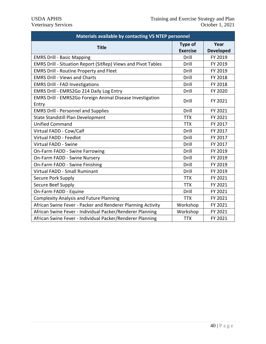| Materials available by contacting VS NTEP personnel                       |                            |                          |
|---------------------------------------------------------------------------|----------------------------|--------------------------|
| <b>Title</b>                                                              | Type of<br><b>Exercise</b> | Year<br><b>Developed</b> |
| <b>EMRS Drill - Basic Mapping</b>                                         | Drill                      | FY 2019                  |
| <b>EMRS Drill - Situation Report (SitRep) Views and Pivot Tables</b>      | Drill                      | FY 2019                  |
| <b>EMRS Drill - Routine Property and Fleet</b>                            | Drill                      | FY 2019                  |
| <b>EMRS Drill - Views and Charts</b>                                      | Drill                      | FY 2018                  |
| <b>EMRS Drill - FAD Investigations</b>                                    | Drill                      | FY 2018                  |
| EMRS Drill - EMRS2Go 214 Daily Log Entry                                  | Drill                      | FY 2020                  |
| <b>EMRS Drill - EMRS2Go Foreign Animal Disease Investigation</b><br>Entry | Drill                      | FY 2021                  |
| <b>EMRS Drill - Personnel and Supplies</b>                                | Drill                      | FY 2021                  |
| State Standstill Plan Development                                         | <b>TTX</b>                 | FY 2021                  |
| <b>Unified Command</b>                                                    | <b>TTX</b>                 | FY 2017                  |
| Virtual FADD - Cow/Calf                                                   | Drill                      | FY 2017                  |
| Virtual FADD - Feedlot                                                    | Drill                      | FY 2017                  |
| Virtual FADD - Swine                                                      | Drill                      | FY 2017                  |
| On-Farm FADD - Swine Farrowing                                            | Drill                      | FY 2019                  |
| On-Farm FADD - Swine Nursery                                              | Drill                      | FY 2019                  |
| On-Farm FADD - Swine Finishing                                            | Drill                      | FY 2019                  |
| Virtual FADD - Small Ruminant                                             | Drill                      | FY 2019                  |
| Secure Pork Supply                                                        | <b>TTX</b>                 | FY 2021                  |
| Secure Beef Supply                                                        | <b>TTX</b>                 | FY 2021                  |
| On-Farm FADD - Equine                                                     | Drill                      | FY 2021                  |
| <b>Complexity Analysis and Future Planning</b>                            | <b>TTX</b>                 | FY 2021                  |
| African Swine Fever - Packer and Renderer Planning Activity               | Workshop                   | FY 2021                  |
| African Swine Fever - Individual Packer/Renderer Planning                 | Workshop                   | FY 2021                  |
| African Swine Fever - Individual Packer/Renderer Planning                 | <b>TTX</b>                 | FY 2021                  |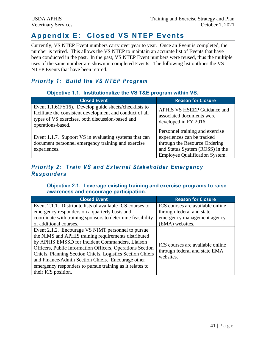## <span id="page-48-0"></span>**Appendix E: Closed VS NTEP Events**

Currently, VS NTEP Event numbers carry over year to year. Once an Event is completed, the number is retired. This allows the VS NTEP to maintain an accurate list of Events that have been conducted in the past. In the past, VS NTEP Event numbers were reused, thus the multiple uses of the same number are shown in completed Events. The following list outlines the VS NTEP Events that have been retired.

## *Priority 1: Build the VS NTEP Program*

#### **Objective 1.1. Institutionalize the VS T&E program within VS.**

| <b>Closed Event</b>                                                                                                                                                                        | <b>Reason for Closure</b>                                                                                                                                           |
|--------------------------------------------------------------------------------------------------------------------------------------------------------------------------------------------|---------------------------------------------------------------------------------------------------------------------------------------------------------------------|
| Event 1.1.6(FY16). Develop guide sheets/checklists to<br>facilitate the consistent development and conduct of all<br>types of VS exercises, both discussion-based and<br>operations-based. | APHIS VS HSEEP Guidance and<br>associated documents were<br>developed in FY 2016.                                                                                   |
| Event 1.1.7. Support VS in evaluating systems that can<br>document personnel emergency training and exercise<br>experiences.                                                               | Personnel training and exercise<br>experiences can be tracked<br>through the Resource Ordering<br>and Status System (ROSS) in the<br>Employee Qualification System. |

## *Priority 2: Train VS and External Stakeholder Emergency Responders*

#### **Objective 2.1. Leverage existing training and exercise programs to raise awareness and encourage participation.**

| <b>Closed Event</b>                                                                                                                                                                                                                                                                                                                                                                                                             | <b>Reason for Closure</b>                                                      |
|---------------------------------------------------------------------------------------------------------------------------------------------------------------------------------------------------------------------------------------------------------------------------------------------------------------------------------------------------------------------------------------------------------------------------------|--------------------------------------------------------------------------------|
| Event 2.1.1. Distribute lists of available ICS courses to                                                                                                                                                                                                                                                                                                                                                                       | ICS courses are available online                                               |
| emergency responders on a quarterly basis and                                                                                                                                                                                                                                                                                                                                                                                   | through federal and state                                                      |
| coordinate with training sponsors to determine feasibility                                                                                                                                                                                                                                                                                                                                                                      | emergency management agency                                                    |
| of additional courses.                                                                                                                                                                                                                                                                                                                                                                                                          | (EMA) websites.                                                                |
| Event 2.1.2. Encourage VS NIMT personnel to pursue<br>the NIMS and APHIS training requirements distributed<br>by APHIS EMSSD for Incident Commanders, Liaison<br>Officers, Public Information Officers, Operations Section<br>Chiefs, Planning Section Chiefs, Logistics Section Chiefs<br>and Finance/Admin Section Chiefs. Encourage other<br>emergency responders to pursue training as it relates to<br>their ICS position. | ICS courses are available online<br>through federal and state EMA<br>websites. |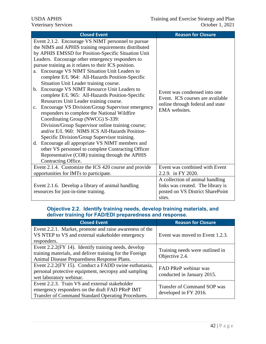| <b>Closed Event</b>                                                                                                                                                                                                                                                                                                                                                                                                                                                                                                                                                                                                                                                                                                                                                                                                                                                                                                                                                                                                                                                                    | <b>Reason for Closure</b>                                                                                             |
|----------------------------------------------------------------------------------------------------------------------------------------------------------------------------------------------------------------------------------------------------------------------------------------------------------------------------------------------------------------------------------------------------------------------------------------------------------------------------------------------------------------------------------------------------------------------------------------------------------------------------------------------------------------------------------------------------------------------------------------------------------------------------------------------------------------------------------------------------------------------------------------------------------------------------------------------------------------------------------------------------------------------------------------------------------------------------------------|-----------------------------------------------------------------------------------------------------------------------|
| Event 2.1.2. Encourage VS NIMT personnel to pursue<br>the NIMS and APHIS training requirements distributed<br>by APHIS EMSSD for Position-Specific Situation Unit<br>Leaders. Encourage other emergency responders to<br>pursue training as it relates to their ICS position.<br>Encourage VS NIMT Situation Unit Leaders to<br>a.<br>complete E/L 964: All-Hazards Position-Specific<br>Situation Unit Leader training course.<br>b. Encourage VS NIMT Resource Unit Leaders to<br>complete E/L 965: All-Hazards Position-Specific<br>Resources Unit Leader training course.<br><b>Encourage VS Division/Group Supervisor emergency</b><br>$c_{\cdot}$<br>responders to complete the National Wildfire<br>Coordinating Group (NWCG) S-339:<br>Division/Group Supervisor online training course;<br>and/or E/L 960: NIMS ICS All-Hazards Position-<br>Specific Division/Group Supervisor training.<br>d. Encourage all appropriate VS NIMT members and<br>other VS personnel to complete Contracting Officer<br>Representative (COR) training through the APHIS<br>Contracting Office. | Event was condensed into one<br>Event. ICS courses are available<br>online through federal and state<br>EMA websites. |
| Event 2.1.4. Customize the ICS 420 course and provide<br>opportunities for IMTs to participate.                                                                                                                                                                                                                                                                                                                                                                                                                                                                                                                                                                                                                                                                                                                                                                                                                                                                                                                                                                                        | Event was combined with Event<br>2.2.9. in FY 2020.                                                                   |
| Event 2.1.6. Develop a library of animal handling<br>resources for just-in-time training.                                                                                                                                                                                                                                                                                                                                                                                                                                                                                                                                                                                                                                                                                                                                                                                                                                                                                                                                                                                              | A collection of animal handling<br>links was created. The library is<br>posted on VS District SharePoint<br>sites.    |

### **Objective 2.2. Identify training needs, develop training materials, and deliver training for FAD/EDI preparedness and response.**

| <b>Closed Event</b>                                                                                                                                             | <b>Reason for Closure</b>                                   |
|-----------------------------------------------------------------------------------------------------------------------------------------------------------------|-------------------------------------------------------------|
| Event 2.2.1. Market, promote and raise awareness of the<br>VS NTEP to VS and external stakeholder emergency<br>responders.                                      | Event was moved to Event 1.2.3.                             |
| Event 2.2.2(FY 14). Identify training needs, develop<br>training materials, and deliver training for the Foreign<br>Animal Disease Preparedness Response Plans. | Training needs were outlined in<br>Objective 2.4.           |
| Event 2.2.2(FY 15). Conduct a FADD swine euthanasia,<br>personal protective equipment, necropsy and sampling<br>wet laboratory webinar.                         | FAD PReP webinar was<br>conducted in January 2015.          |
| Event 2.2.3. Train VS and external stakeholder<br>emergency responders on the draft FAD PReP IMT<br>Transfer of Command Standard Operating Procedures.          | <b>Transfer of Command SOP was</b><br>developed in FY 2016. |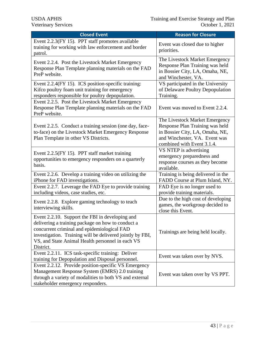| <b>Closed Event</b>                                                                                                                                                                                                                                                               | <b>Reason for Closure</b>                                                                                                                                           |
|-----------------------------------------------------------------------------------------------------------------------------------------------------------------------------------------------------------------------------------------------------------------------------------|---------------------------------------------------------------------------------------------------------------------------------------------------------------------|
| Event 2.2.3(FY 15). PPT staff promotes available<br>training for working with law enforcement and border<br>patrol.                                                                                                                                                               | Event was closed due to higher<br>priorities.                                                                                                                       |
| Event 2.2.4. Post the Livestock Market Emergency<br>Response Plan Template planning materials on the FAD<br>PreP website.                                                                                                                                                         | The Livestock Market Emergency<br>Response Plan Training was held<br>in Bossier City, LA, Omaha, NE,<br>and Winchester, VA.                                         |
| Event 2.2.4(FY 15). ICS position-specific training:<br>Kifco poultry foam unit training for emergency<br>responders responsible for poultry depopulation.                                                                                                                         | VS participated in the University<br>of Delaware Poultry Depopulation<br>Training.                                                                                  |
| Event 2.2.5. Post the Livestock Market Emergency<br>Response Plan Template planning materials on the FAD<br>PreP website.                                                                                                                                                         | Event was moved to Event 2.2.4.                                                                                                                                     |
| Event 2.2.5. Conduct a training session (one day, face-<br>to-face) on the Livestock Market Emergency Response<br>Plan Template in other VS Districts.                                                                                                                            | The Livestock Market Emergency<br>Response Plan Training was held<br>in Bossier City, LA, Omaha, NE,<br>and Winchester, VA. Event was<br>combined with Event 3.1.4. |
| Event 2.2.5 (FY 15). PPT staff market training<br>opportunities to emergency responders on a quarterly<br>basis.                                                                                                                                                                  | VS NTEP is advertising<br>emergency preparedness and<br>response courses as they become<br>available.                                                               |
| Event 2.2.6. Develop a training video on utilizing the<br>iPhone for FAD investigations.                                                                                                                                                                                          | Training is being delivered in the<br>FADD Course at Plum Island, NY.                                                                                               |
| Event 2.2.7. Leverage the FAD Eye to provide training<br>including videos, case studies, etc.                                                                                                                                                                                     | FAD Eye is no longer used to<br>provide training materials.                                                                                                         |
| Event 2.2.8. Explore gaming technology to teach<br>interviewing skills.                                                                                                                                                                                                           | Due to the high cost of developing<br>games, the workgroup decided to<br>close this Event.                                                                          |
| Event 2.2.10. Support the FBI in developing and<br>delivering a training package on how to conduct a<br>concurrent criminal and epidemiological FAD<br>investigation. Training will be delivered jointly by FBI,<br>VS, and State Animal Health personnel in each VS<br>District. | Trainings are being held locally.                                                                                                                                   |
| Event 2.2.11. ICS task-specific training: Deliver<br>training for Depopulation and Disposal personnel.                                                                                                                                                                            | Event was taken over by NVS.                                                                                                                                        |
| Event 2.2.12. Provide position-specific VS Emergency<br>Management Response System (EMRS) 2.0 training<br>through a variety of modalities to both VS and external<br>stakeholder emergency responders.                                                                            | Event was taken over by VS PPT.                                                                                                                                     |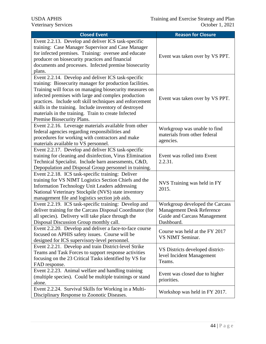| <b>Closed Event</b>                                                                                                                                                                                                                                                                                                                                                                                                                          | <b>Reason for Closure</b>                                                                                         |
|----------------------------------------------------------------------------------------------------------------------------------------------------------------------------------------------------------------------------------------------------------------------------------------------------------------------------------------------------------------------------------------------------------------------------------------------|-------------------------------------------------------------------------------------------------------------------|
| Event 2.2.13. Develop and deliver ICS task-specific<br>training: Case Manager Supervisor and Case Manager<br>for infected premises. Training: oversee and educate<br>producer on biosecurity practices and financial<br>documents and processes. Infected premise biosecurity<br>plans.                                                                                                                                                      | Event was taken over by VS PPT.                                                                                   |
| Event 2.2.14. Develop and deliver ICS task-specific<br>training: Biosecurity manager for production facilities.<br>Training will focus on managing biosecurity measures on<br>infected premises with large and complex production<br>practices. Include soft skill techniques and enforcement<br>skills in the training. Include inventory of destroyed<br>materials in the training. Train to create Infected<br>Premise Biosecurity Plans. | Event was taken over by VS PPT.                                                                                   |
| Event 2.2.16. Leverage materials available from other<br>federal agencies regarding responsibilities and<br>procedures for working with contractors and make<br>materials available to VS personnel.                                                                                                                                                                                                                                         | Workgroup was unable to find<br>materials from other federal<br>agencies.                                         |
| Event 2.2.17. Develop and deliver ICS task-specific<br>training for cleaning and disinfection, Virus Elimination<br>Technical Specialist. Include barn assessments, C&D,<br>Depopulation and Disposal Group personnel in training.                                                                                                                                                                                                           | Event was rolled into Event<br>2.2.31.                                                                            |
| Event 2.2.18. ICS task-specific training: Deliver<br>training for VS NIMT Logistics Section Chiefs and the<br><b>Information Technology Unit Leaders addressing</b><br>National Veterinary Stockpile (NVS) state inventory<br>management file and logistics section job aids.                                                                                                                                                                | NVS Training was held in FY<br>2015.                                                                              |
| Event 2.2.19. ICS task-specific training: Develop and<br>deliver training for the Carcass Disposal Coordinator (for<br>all species). Delivery will take place through the<br>Disposal Discussion Group monthly call.                                                                                                                                                                                                                         | Workgroup developed the Carcass<br><b>Management Desk Reference</b><br>Guide and Carcass Management<br>Dashboard. |
| Event 2.2.20. Develop and deliver a face-to-face course<br>focused on APHIS safety issues. Course will be<br>designed for ICS supervisory-level personnel.                                                                                                                                                                                                                                                                                   | Course was held at the FY 2017<br>VS NIMT Seminar.                                                                |
| Event 2.2.21. Develop and train District-level Strike<br>Teams and Task Forces to support response activities<br>focusing on the 23 Critical Tasks identified by VS for<br>FAD response.                                                                                                                                                                                                                                                     | VS Districts developed district-<br>level Incident Management<br>Teams.                                           |
| Event 2.2.23. Animal welfare and handling training<br>(multiple species). Could be multiple trainings or stand<br>alone.                                                                                                                                                                                                                                                                                                                     | Event was closed due to higher<br>priorities.                                                                     |
| Event 2.2.24. Survival Skills for Working in a Multi-<br>Disciplinary Response to Zoonotic Diseases.                                                                                                                                                                                                                                                                                                                                         | Workshop was held in FY 2017.                                                                                     |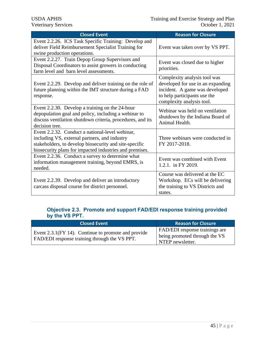| <b>Closed Event</b>                                                                                                                                                                                                   | <b>Reason for Closure</b>                                                                                                                                        |
|-----------------------------------------------------------------------------------------------------------------------------------------------------------------------------------------------------------------------|------------------------------------------------------------------------------------------------------------------------------------------------------------------|
| Event 2.2.26. ICS Task Specific Training: Develop and<br>deliver Field Reimbursement Specialist Training for<br>swine production operations.                                                                          | Event was taken over by VS PPT.                                                                                                                                  |
| Event 2.2.27. Train Depop Group Supervisors and<br>Disposal Coordinators to assist growers in conducting<br>farm level and barn level assessments.                                                                    | Event was closed due to higher<br>priorities.                                                                                                                    |
| Event 2.2.29. Develop and deliver training on the role of<br>future planning within the IMT structure during a FAD<br>response.                                                                                       | Complexity analysis tool was<br>developed for use in an expanding<br>incident. A game was developed<br>to help participants use the<br>complexity analysis tool. |
| Event 2.2.30. Develop a training on the 24-hour<br>depopulation goal and policy, including a webinar to<br>discuss ventilation shutdown criteria, procedures, and its<br>decision tree.                               | Webinar was held on ventilation<br>shutdown by the Indiana Board of<br>Animal Health.                                                                            |
| Event 2.2.32. Conduct a national-level webinar,<br>including VS, external partners, and industry<br>stakeholders, to develop biosecurity and site-specific<br>biosecurity plans for impacted industries and premises. | Three webinars were conducted in<br>FY 2017-2018.                                                                                                                |
| Event 2.2.36. Conduct a survey to determine what<br>information management training, beyond EMRS, is<br>needed.                                                                                                       | Event was combined with Event<br>1.2.1. in FY 2019.                                                                                                              |
| Event 2.2.39. Develop and deliver an introductory<br>carcass disposal course for district personnel.                                                                                                                  | Course was delivered at the EC<br>Workshop. ECs will be delivering<br>the training to VS Districts and<br>states.                                                |

### **Objective 2.3. Promote and support FAD/EDI response training provided by the VS PPT.**

| <b>Closed Event</b>                                                                                   | <b>Reason for Closure</b>                                                                  |
|-------------------------------------------------------------------------------------------------------|--------------------------------------------------------------------------------------------|
| Event 2.3.1 (FY 14). Continue to promote and provide<br>FAD/EDI response training through the VS PPT. | <b>FAD/EDI</b> response trainings are<br>being promoted through the VS<br>NTEP newsletter. |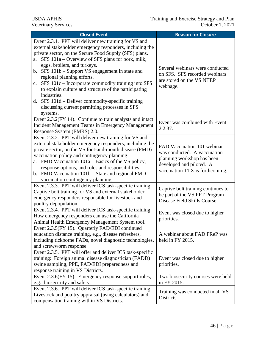| <b>Closed Event</b>                                                                                                | <b>Reason for Closure</b>                                     |
|--------------------------------------------------------------------------------------------------------------------|---------------------------------------------------------------|
| Event 2.3.1. PPT will deliver new training for VS and                                                              |                                                               |
| external stakeholder emergency responders, including the                                                           |                                                               |
| private sector, on the Secure Food Supply (SFS) plans.                                                             |                                                               |
| SFS 101a – Overview of SFS plans for pork, milk,<br>a.                                                             |                                                               |
| eggs, broilers, and turkeys.                                                                                       | Several webinars were conducted                               |
| b. SFS 101b – Support VS engagement in state and                                                                   | on SFS. SFS recorded webinars                                 |
| regional planning efforts.                                                                                         | are stored on the VS NTEP                                     |
| c. SFS 101c – Incorporate commodity training into SFS                                                              | webpage.                                                      |
| to explain culture and structure of the participating                                                              |                                                               |
| industries.                                                                                                        |                                                               |
| d. SFS 101d – Deliver commodity-specific training                                                                  |                                                               |
| discussing current permitting processes in SFS                                                                     |                                                               |
| systems.                                                                                                           |                                                               |
| Event 2.3.2(FY 14). Continue to train analysts and intact                                                          | Event was combined with Event                                 |
| Incident Management Teams in Emergency Management                                                                  | 2.2.37.                                                       |
| Response System (EMRS) 2.0.                                                                                        |                                                               |
| Event 2.3.2. PPT will deliver new training for VS and                                                              |                                                               |
| external stakeholder emergency responders, including the<br>private sector, on the VS foot-and-mouth disease (FMD) | FAD Vaccination 101 webinar                                   |
| vaccination policy and contingency planning.                                                                       | was conducted. A vaccination                                  |
| FMD Vaccination 101a – Basics of the VS policy,<br>a.                                                              | planning workshop has been                                    |
| response options, and roles and responsibilities.                                                                  | developed and piloted. A                                      |
| b. FMD Vaccination 101b - State and regional FMD                                                                   | vaccination TTX is forthcoming.                               |
| vaccination contingency planning.                                                                                  |                                                               |
| Event 2.3.3. PPT will deliver ICS task-specific training:                                                          |                                                               |
| Captive bolt training for VS and external stakeholder                                                              | Captive bolt training continues to                            |
| emergency responders responsible for livestock and                                                                 | be part of the VS PPT Program<br>Disease Field Skills Course. |
| poultry depopulation.                                                                                              |                                                               |
| Event 2.3.4. PPT will deliver ICS task-specific training:                                                          | Event was closed due to higher                                |
| How emergency responders can use the California                                                                    | priorities.                                                   |
| Animal Health Emergency Management System tool.                                                                    |                                                               |
| Event 2.3.5(FY 15). Quarterly FAD/EDI continued                                                                    |                                                               |
| education distance training, e.g., disease refreshers,                                                             | A webinar about FAD PReP was                                  |
| including tickborne FADs, novel diagnostic technologies,                                                           | held in FY 2015.                                              |
| and screwworm response.                                                                                            |                                                               |
| Event 2.3.5. PPT will offer and deliver ICS task-specific                                                          |                                                               |
| training: Foreign animal disease diagnostician (FADD)                                                              | Event was closed due to higher                                |
| swine sampling, PPE, FAD/EDI preparedness and                                                                      | priorities.                                                   |
| response training in VS Districts.                                                                                 |                                                               |
| Event 2.3.6(FY 15). Emergency response support roles,                                                              | Two biosecurity courses were held                             |
| e.g. biosecurity and safety.                                                                                       | in FY 2015.                                                   |
| Event 2.3.6. PPT will deliver ICS task-specific training:                                                          | Training was conducted in all VS                              |
| Livestock and poultry appraisal (using calculators) and                                                            | Districts.                                                    |
| compensation training within VS Districts.                                                                         |                                                               |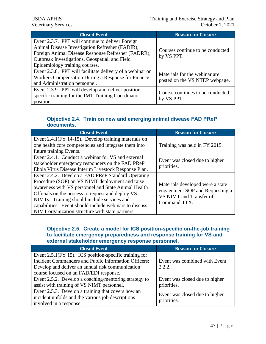| <b>Closed Event</b>                                       | <b>Reason for Closure</b>        |
|-----------------------------------------------------------|----------------------------------|
| Event 2.3.7. PPT will continue to deliver Foreign         |                                  |
| Animal Disease Investigation Refresher (FADIR),           | Courses continue to be conducted |
| Foreign Animal Disease Response Refresher (FADRR),        |                                  |
| Outbreak Investigations, Geospatial, and Field            | by VS PPT.                       |
| Epidemiology training courses.                            |                                  |
| Event 2.3.8. PPT will facilitate delivery of a webinar on | Materials for the webinar are.   |
| Workers Compensation During a Response for Finance        | posted on the VS NTEP webpage.   |
| and Administration personnel.                             |                                  |
| Event 2.3.9. PPT will develop and deliver position-       |                                  |
| specific training for the IMT Training Coordinator        | Course continues to be conducted |
| position.                                                 | by VS PPT.                       |

#### **Objective 2.4. Train on new and emerging animal disease FAD PReP documents.**

| <b>Closed Event</b>                                    | <b>Reason for Closure</b>        |
|--------------------------------------------------------|----------------------------------|
| Event 2.4.1 (FY 14-15). Develop training materials on  |                                  |
| one health core competencies and integrate them into   | Training was held in FY 2015.    |
| future training Events.                                |                                  |
| Event 2.4.1. Conduct a webinar for VS and external     | Event was closed due to higher   |
| stakeholder emergency responders on the FAD PReP       | priorities.                      |
| Ebola Virus Disease Interim Livestock Response Plan.   |                                  |
| Event 2.4.2. Develop a FAD PReP Standard Operating     |                                  |
| Procedure (SOP) on VS NIMT deployment and raise        | Materials developed were a state |
| awareness with VS personnel and State Animal Health    | engagement SOP and Requesting a  |
| Officials on the process to request and deploy VS      | VS NIMT and Transfer of          |
| NIMTs. Training should include services and            | Command TTX.                     |
| capabilities. Event should include webinars to discuss |                                  |
| NIMT organization structure with state partners.       |                                  |

#### **Objective 2.5. Create a model for ICS position-specific on-the-job training to facilitate emergency preparedness and response training for VS and external stakeholder emergency response personnel.**

| <b>Closed Event</b>                                                                                                                                                                                          | <b>Reason for Closure</b>                     |
|--------------------------------------------------------------------------------------------------------------------------------------------------------------------------------------------------------------|-----------------------------------------------|
| Event 2.5.1(FY 15). ICS position-specific training for<br>Incident Commanders and Public Information Officers:<br>Develop and deliver an annual risk communication<br>course focused on an FAD/EDI response. | Event was combined with Event<br>2.2.2.       |
| Event 2.5.2. Develop a coaching/mentoring strategy to<br>assist with training of VS NIMT personnel.                                                                                                          | Event was closed due to higher<br>priorities. |
| Event 2.5.3. Develop a training that covers how an<br>incident unfolds and the various job descriptions<br>involved in a response.                                                                           | Event was closed due to higher<br>priorities. |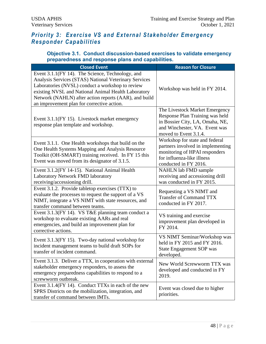## *Priority 3: Exercise VS and External Stakeholder Emergency Responder Capabilities*

| preparedness and response plans and capabilities.                                                                                                                                                                                                                                                                           |                                                                                                                                                                |
|-----------------------------------------------------------------------------------------------------------------------------------------------------------------------------------------------------------------------------------------------------------------------------------------------------------------------------|----------------------------------------------------------------------------------------------------------------------------------------------------------------|
| <b>Closed Event</b>                                                                                                                                                                                                                                                                                                         | <b>Reason for Closure</b>                                                                                                                                      |
| Event 3.1.1(FY 14). The Science, Technology, and<br>Analysis Services (STAS) National Veterinary Services<br>Laboratories (NVSL) conduct a workshop to review<br>existing NVSL and National Animal Health Laboratory<br>Network (NAHLN) after action reports (AAR), and build<br>an improvement plan for corrective action. | Workshop was held in FY 2014.                                                                                                                                  |
| Event 3.1.1(FY 15). Livestock market emergency<br>response plan template and workshop.                                                                                                                                                                                                                                      | The Livestock Market Emergency<br>Response Plan Training was held<br>in Bossier City, LA, Omaha, NE,<br>and Winchester, VA. Event was<br>moved to Event 3.1.4. |
| Event 3.1.1. One Health workshops that build on the<br>One Health Systems Mapping and Analysis Resource<br>Toolkit (OH-SMART) training received. In FY 15 this<br>Event was moved from its designator of 3.1.5.                                                                                                             | Workshop for state and federal<br>partners involved in implementing<br>monitoring of HPAI responders<br>for influenza-like illness<br>conducted in FY 2016.    |
| Event 3.1.2(FY 14-15). National Animal Health<br>Laboratory Network FMD laboratory<br>receiving/accessioning drill.                                                                                                                                                                                                         | NAHLN lab FMD sample<br>receiving and accessioning drill<br>was conducted in FY 2015.                                                                          |
| Event 3.1.2. Provide tabletop exercises (TTX) to<br>evaluate the processes to request the support of a VS<br>NIMT, integrate a VS NIMT with state resources, and<br>transfer command between teams.                                                                                                                         | Requesting a VS NIMT and<br><b>Transfer of Command TTX</b><br>conducted in FY 2017.                                                                            |
| Event 3.1.3(FY 14). VS T&E planning team conduct a<br>workshop to evaluate existing AARs and real<br>emergencies, and build an improvement plan for<br>corrective actions.                                                                                                                                                  | VS training and exercise<br>improvement plan developed in<br>FY 2014.                                                                                          |
| Event 3.1.3(FY 15). Two-day national workshop for<br>incident management teams to build draft SOPs for<br>transfer of incident command.                                                                                                                                                                                     | VS NIMT Seminar/Workshop was<br>held in FY 2015 and FY 2016.<br>State Engagement SOP was<br>developed.                                                         |
| Event 3.1.3. Deliver a TTX, in cooperation with external<br>stakeholder emergency responders, to assess the<br>emergency preparedness capabilities to respond to a<br>screwworm outbreak.                                                                                                                                   | New World Screwworm TTX was<br>developed and conducted in FY<br>2019.                                                                                          |
| Event 3.1.4(FY 14). Conduct TTXs in each of the new<br>SPRS Districts on the mobilization, integration, and<br>transfer of command between IMTs.                                                                                                                                                                            | Event was closed due to higher<br>priorities.                                                                                                                  |

#### **Objective 3.1. Conduct discussion-based exercises to validate emergency preparedness and response plans and capabilities.**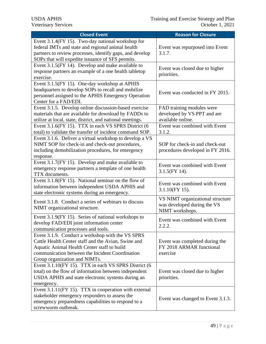| <b>Closed Event</b>                                            | <b>Reason for Closure</b>         |  |
|----------------------------------------------------------------|-----------------------------------|--|
| Event 3.1.4(FY 15). Two-day national workshop for              |                                   |  |
| federal IMTs and state and regional animal health              | Event was repurposed into Event   |  |
| partners to review processes, identify gaps, and develop       | 3.1.7.                            |  |
| SOPs that will expedite issuance of SFS permits.               |                                   |  |
| Event 3.1.5(FY 14). Develop and make available to              | Event was closed due to higher    |  |
| response partners an example of a one health tabletop          | priorities.                       |  |
| exercise.                                                      |                                   |  |
| Event 3.1.5(FY 15). One-day workshop at APHIS                  |                                   |  |
| headquarters to develop SOPs to recall and mobilize            | Event was conducted in FY 2015.   |  |
| personnel assigned to the APHIS Emergency Operation            |                                   |  |
| Center for a FAD/EDI.                                          |                                   |  |
| Event 3.1.5. Develop online discussion-based exercise          | FAD training modules were         |  |
| materials that are available for download by FADDs to          | developed by VS PPT and are       |  |
| utilize at local, state, district, and national meetings.      | available online.                 |  |
| Event 3.1.6(FY 15). TTX in each VS SPRS District (6            | Event was combined with Event     |  |
| total) to validate the transfer of incident command SOP.       | 3.1.2.                            |  |
| Event 3.1.6. Deliver a virtual workshop to develop a VS        |                                   |  |
| NIMT SOP for check-in and check-out procedures,                | SOP for check-in and check-out    |  |
| including demobilization procedures, for emergency             | procedures developed in FY 2016.  |  |
| response.<br>Event 3.1.7(FY 15). Develop and make available to |                                   |  |
| emergency response partners a template of one health           | Event was combined with Event     |  |
| TTX documents.                                                 | $3.1.5$ (FY 14).                  |  |
| Event 3.1.8(FY 15). National seminar on the flow of            |                                   |  |
| information between independent USDA APHIS and                 | Event was combined with Event     |  |
| state electronic systems during an emergency.                  | $3.1.10$ (FY 15).                 |  |
|                                                                | VS NIMT organizational structure  |  |
| Event 3.1.8. Conduct a series of webinars to discuss           | was developed during the VS       |  |
| NIMT organizational structure.                                 | NIMT workshops.                   |  |
| Event 3.1.9(FY 15). Series of national workshops to            | Event was combined with Event     |  |
| develop FAD/EDI joint information center                       | 2.2.2.                            |  |
| communication processes and tools.                             |                                   |  |
| Event 3.1.9. Conduct a workshop with the VS SPRS               |                                   |  |
| Cattle Health Center staff and the Avian, Swine and            | Event was completed during the    |  |
| Aquatic Animal Health Center staff to build                    | FY 2018 ARMAR functional          |  |
| communication between the Incident Coordination                | exercise                          |  |
| Group organization and NIMTs.                                  |                                   |  |
| Event 3.1.10(FY 15). TTX in each VS SPRS District (6           |                                   |  |
| total) on the flow of information between independent          | Event was closed due to higher    |  |
| USDA APHIS and state electronic systems during an              | priorities.                       |  |
| emergency.                                                     |                                   |  |
| Event 3.1.11(FY 15). TTX in cooperation with external          |                                   |  |
| stakeholder emergency responders to assess the                 | Event was changed to Event 3.1.3. |  |
| emergency preparedness capabilities to respond to a            |                                   |  |
| screwworm outbreak.                                            |                                   |  |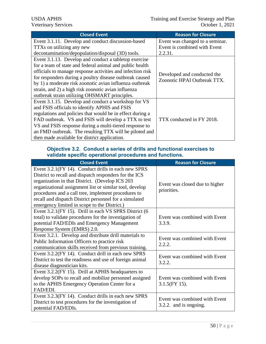| <b>Closed Event</b>                                        | <b>Reason for Closure</b>       |
|------------------------------------------------------------|---------------------------------|
| Event 3.1.11. Develop and conduct discussion-based         | Event was changed to a seminar. |
| TTXs on utilizing any new                                  | Event is combined with Event    |
| decontamination/depopulation/disposal (3D) tools.          | 2.2.31.                         |
| Event 3.1.13. Develop and conduct a tabletop exercise      |                                 |
| for a team of state and federal animal and public health   |                                 |
| officials to manage response activities and infection risk | Developed and conducted the     |
| for responders during a poultry disease outbreak caused    | Zoonotic HPAI Outbreak TTX.     |
| by 1) a moderate risk zoonotic avian influenza outbreak    |                                 |
| strain, and 2) a high risk zoonotic avian influenza        |                                 |
| outbreak strain utilizing OHSMART principles.              |                                 |
| Event 3.1.15. Develop and conduct a workshop for VS        |                                 |
| and FSIS officials to identify APHIS and FSIS              |                                 |
| regulations and policies that would be in effect during a  |                                 |
| FAD outbreak. VS and FSIS will develop a TTX to test       | TTX conducted in FY 2018.       |
| VS and FSIS response during a multi-tiered response to     |                                 |
| an FMD outbreak. The resulting TTX will be piloted and     |                                 |
| then made available for district application.              |                                 |

### **Objective 3.2. Conduct a series of drills and functional exercises to validate specific operational procedures and functions.**

| <b>Closed Event</b>                                                                                                                                                                                                                                                                                                                                                                           | <b>Reason for Closure</b>                               |
|-----------------------------------------------------------------------------------------------------------------------------------------------------------------------------------------------------------------------------------------------------------------------------------------------------------------------------------------------------------------------------------------------|---------------------------------------------------------|
| Event 3.2.1 (FY 14). Conduct drills in each new SPRS<br>District to recall and dispatch responders for the ICS<br>organization in that District. (Develop ICS 203<br>organizational assignment list or similar tool, develop<br>procedures and a call tree, implement procedures to<br>recall and dispatch District personnel for a simulated<br>emergency limited in scope to the District.) | Event was closed due to higher<br>priorities.           |
| Event 3.2.1(FY 15). Drill in each VS SPRS District (6<br>total) to validate procedures for the investigation of<br>potential FAD/EDIs and Emergency Management<br>Response System (EMRS) 2.0.                                                                                                                                                                                                 | Event was combined with Event<br>3.3.9.                 |
| Event 3.2.1. Develop and distribute drill materials to<br>Public Information Officers to practice risk<br>communication skills received from previous training.                                                                                                                                                                                                                               | Event was combined with Event<br>2.2.2.                 |
| Event 3.2.2(FY 14). Conduct drill in each new SPRS<br>District to test the readiness and use of foreign animal<br>disease diagnostician kits.                                                                                                                                                                                                                                                 | Event was combined with Event<br>3.2.2.                 |
| Event 3.2.2(FY 15). Drill at APHIS headquarters to<br>develop SOPs to recall and mobilize personnel assigned<br>to the APHIS Emergency Operation Center for a<br>FAD/EDI.                                                                                                                                                                                                                     | Event was combined with Event<br>$3.1.5$ (FY 15).       |
| Event 3.2.3(FY 14). Conduct drills in each new SPRS<br>District to test procedures for the investigation of<br>potential FAD/EDIs.                                                                                                                                                                                                                                                            | Event was combined with Event<br>3.2.2. and is ongoing. |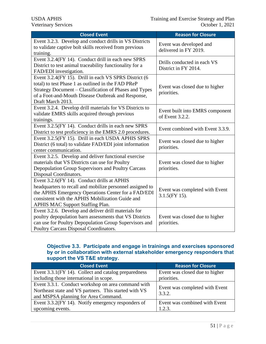| <b>Closed Event</b>                                                                                                                                                                                                                                            | <b>Reason for Closure</b>                           |  |
|----------------------------------------------------------------------------------------------------------------------------------------------------------------------------------------------------------------------------------------------------------------|-----------------------------------------------------|--|
| Event 3.2.3. Develop and conduct drills in VS Districts<br>to validate captive bolt skills received from previous<br>training.                                                                                                                                 | Event was developed and<br>delivered in FY 2019.    |  |
| Event 3.2.4(FY 14). Conduct drill in each new SPRS<br>District to test animal traceability functionality for a<br>FAD/EDI investigation.                                                                                                                       | Drills conducted in each VS<br>District in FY 2014. |  |
| Event 3.2.4(FY 15). Drill in each VS SPRS District (6<br>total) to test Phase 1 as outlined in the FAD PReP<br>Strategy Document - Classification of Phases and Types<br>of a Foot-and-Mouth Disease Outbreak and Response,<br>Draft March 2013.               | Event was closed due to higher<br>priorities.       |  |
| Event 3.2.4. Develop drill materials for VS Districts to<br>validate EMRS skills acquired through previous<br>trainings.                                                                                                                                       | Event built into EMRS component<br>of Event 3.2.2.  |  |
| Event 3.2.5 (FY 14). Conduct drills in each new SPRS<br>District to test proficiency in the EMRS 2.0 procedures.                                                                                                                                               | Event combined with Event 3.3.9.                    |  |
| Event 3.2.5(FY 15). Drill in each USDA APHIS SPRS<br>District (6 total) to validate FAD/EDI joint information<br>center communication.                                                                                                                         | Event was closed due to higher<br>priorities.       |  |
| Event 3.2.5. Develop and deliver functional exercise<br>materials that VS Districts can use for Poultry<br>Depopulation Group Supervisors and Poultry Carcass<br>Disposal Coordinators.                                                                        | Event was closed due to higher<br>priorities.       |  |
| Event 3.2.6(FY 14). Conduct drills at APHIS<br>headquarters to recall and mobilize personnel assigned to<br>the APHIS Emergency Operations Center for a FAD/EDI<br>consistent with the APHIS Mobilization Guide and<br><b>APHIS MAC Support Staffing Plan.</b> | Event was completed with Event<br>$3.1.5$ (FY 15).  |  |
| Event 3.2.6. Develop and deliver drill materials for<br>poultry depopulation barn assessments that VS Districts<br>can use for Poultry Depopulation Group Supervisors and<br>Poultry Carcass Disposal Coordinators.                                            | Event was closed due to higher<br>priorities.       |  |

#### **Objective 3.3. Participate and engage in trainings and exercises sponsored by or in collaboration with external stakeholder emergency responders that support the VS T&E strategy.**

| <b>Closed Event</b>                                                                                                                                 | <b>Reason for Closure</b>                |
|-----------------------------------------------------------------------------------------------------------------------------------------------------|------------------------------------------|
| Event 3.3.1 (FY 14). Collect and catalog preparedness                                                                                               | Event was closed due to higher           |
| including those international in scope.                                                                                                             | priorities.                              |
| Event 3.3.1. Conduct workshop on area command with<br>Northeast state and VS partners. This started with VS<br>and MSPSA planning for Area Command. | Event was completed with Event<br>3.3.2. |
| Event 3.3.2(FY 14). Notify emergency responders of<br>upcoming events.                                                                              | Event was combined with Event<br>1.2.3.  |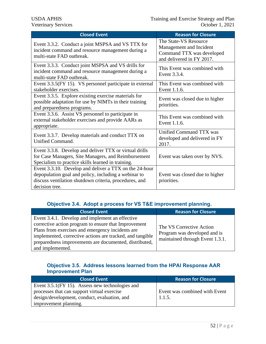| <b>Closed Event</b>                                                                                                                                                                        | <b>Reason for Closure</b>                                                                                  |
|--------------------------------------------------------------------------------------------------------------------------------------------------------------------------------------------|------------------------------------------------------------------------------------------------------------|
| Event 3.3.2. Conduct a joint MSPSA and VS TTX for<br>incident command and resource management during a<br>multi-state FAD outbreak.                                                        | The State-VS Resource<br>Management and Incident<br>Command TTX was developed<br>and delivered in FY 2017. |
| Event 3.3.3. Conduct joint MSPSA and VS drills for<br>incident command and resource management during a<br>multi-state FAD outbreak.                                                       | This Event was combined with<br>Event 3.3.4.                                                               |
| Event 3.3.5(FY 15). VS personnel participate in external<br>stakeholder exercises.                                                                                                         | This Event was combined with<br>Event 1.1.6.                                                               |
| Event 3.3.5. Explore existing exercise materials for<br>possible adaptation for use by NIMTs in their training<br>and preparedness programs.                                               | Event was closed due to higher<br>priorities.                                                              |
| Event 3.3.6. Assist VS personnel to participate in<br>external stakeholder exercises and provide AARs as<br>appropriate.                                                                   | This Event was combined with<br>Event 1.1.6.                                                               |
| Event 3.3.7. Develop materials and conduct TTX on<br>Unified Command.                                                                                                                      | Unified Command TTX was<br>developed and delivered in FY<br>2017.                                          |
| Event 3.3.8. Develop and deliver TTX or virtual drills<br>for Case Managers, Site Managers, and Reimbursement<br>Specialists to practice skills learned in training.                       | Event was taken over by NVS.                                                                               |
| Event 3.3.10. Develop and deliver a TTX on the 24-hour<br>depopulation goal and policy, including a webinar to<br>discuss ventilation shutdown criteria, procedures, and<br>decision tree. | Event was closed due to higher<br>priorities.                                                              |

### **Objective 3.4. Adopt a process for VS T&E improvement planning.**

| <b>Closed Event</b>                                                                                                                                                                                                                                                                                    | <b>Reason for Closure</b>                                                                   |
|--------------------------------------------------------------------------------------------------------------------------------------------------------------------------------------------------------------------------------------------------------------------------------------------------------|---------------------------------------------------------------------------------------------|
| Event 3.4.1. Develop and implement an effective<br>corrective action program to ensure that Improvement<br>Plans from exercises and emergency incidents are<br>implemented, corrective actions are tracked, and tangible<br>preparedness improvements are documented, distributed,<br>and implemented. | The VS Corrective Action<br>Program was developed and is<br>maintained through Event 1.3.1. |

### **Objective 3.5. Address lessons learned from the HPAI Response AAR Improvement Plan**

| <b>Closed Event</b>                                                                                                                             | <b>Reason for Closure</b>               |
|-------------------------------------------------------------------------------------------------------------------------------------------------|-----------------------------------------|
| Event 3.5.1 (FY 15). Assess new technologies and<br>processes that can support virtual exercise<br>design/development, conduct, evaluation, and | Event was combined with Event<br>1.1.5. |
| improvement planning.                                                                                                                           |                                         |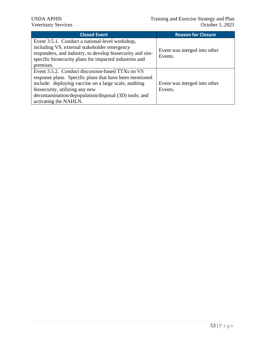| <b>Closed Event</b>                                                                                                                                                                                                                                                                      | <b>Reason for Closure</b>              |
|------------------------------------------------------------------------------------------------------------------------------------------------------------------------------------------------------------------------------------------------------------------------------------------|----------------------------------------|
| Event 3.5.1. Conduct a national-level workshop,<br>including VS, external stakeholder emergency<br>responders, and industry, to develop biosecurity and site-<br>specific biosecurity plans for impacted industries and<br>premises.                                                     | Event was merged into other<br>Events. |
| Event 3.5.2. Conduct discussion-based TTXs on VS<br>response plans. Specific plans that have been mentioned<br>include: deploying vaccine on a large scale, auditing<br>biosecurity, utilizing any new<br>decontamination/depopulation/disposal (3D) tools; and<br>activating the NAHLN. | Event was merged into other<br>Events. |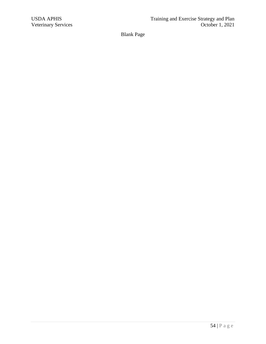Blank Page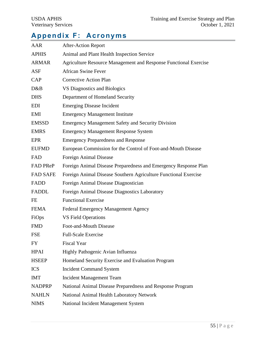# <span id="page-62-0"></span>**Appendix F: Acronyms**

| AAR             | <b>After-Action Report</b>                                       |
|-----------------|------------------------------------------------------------------|
| <b>APHIS</b>    | Animal and Plant Health Inspection Service                       |
| <b>ARMAR</b>    | Agriculture Resource Management and Response Functional Exercise |
| <b>ASF</b>      | <b>African Swine Fever</b>                                       |
| CAP             | <b>Corrective Action Plan</b>                                    |
| D&B             | VS Diagnostics and Biologics                                     |
| <b>DHS</b>      | Department of Homeland Security                                  |
| EDI             | <b>Emerging Disease Incident</b>                                 |
| EMI             | <b>Emergency Management Institute</b>                            |
| <b>EMSSD</b>    | <b>Emergency Management Safety and Security Division</b>         |
| <b>EMRS</b>     | <b>Emergency Management Response System</b>                      |
| <b>EPR</b>      | <b>Emergency Preparedness and Response</b>                       |
| <b>EUFMD</b>    | European Commission for the Control of Foot-and-Mouth Disease    |
| FAD             | Foreign Animal Disease                                           |
| FAD PReP        | Foreign Animal Disease Preparedness and Emergency Response Plan  |
| <b>FAD SAFE</b> | Foreign Animal Disease Southern Agriculture Functional Exercise  |
| FADD            | Foreign Animal Disease Diagnostician                             |
| FADDL           | Foreign Animal Disease Diagnostics Laboratory                    |
| FE              | <b>Functional Exercise</b>                                       |
| <b>FEMA</b>     | <b>Federal Emergency Management Agency</b>                       |
| FiOps           | <b>VS Field Operations</b>                                       |
| <b>FMD</b>      | Foot-and-Mouth Disease                                           |
| <b>FSE</b>      | <b>Full-Scale Exercise</b>                                       |
| FY              | <b>Fiscal Year</b>                                               |
| <b>HPAI</b>     | Highly Pathogenic Avian Influenza                                |
| <b>HSEEP</b>    | Homeland Security Exercise and Evaluation Program                |
| <b>ICS</b>      | <b>Incident Command System</b>                                   |
| <b>IMT</b>      | <b>Incident Management Team</b>                                  |
| <b>NADPRP</b>   | National Animal Disease Preparedness and Response Program        |
| <b>NAHLN</b>    | National Animal Health Laboratory Network                        |
| <b>NIMS</b>     | National Incident Management System                              |